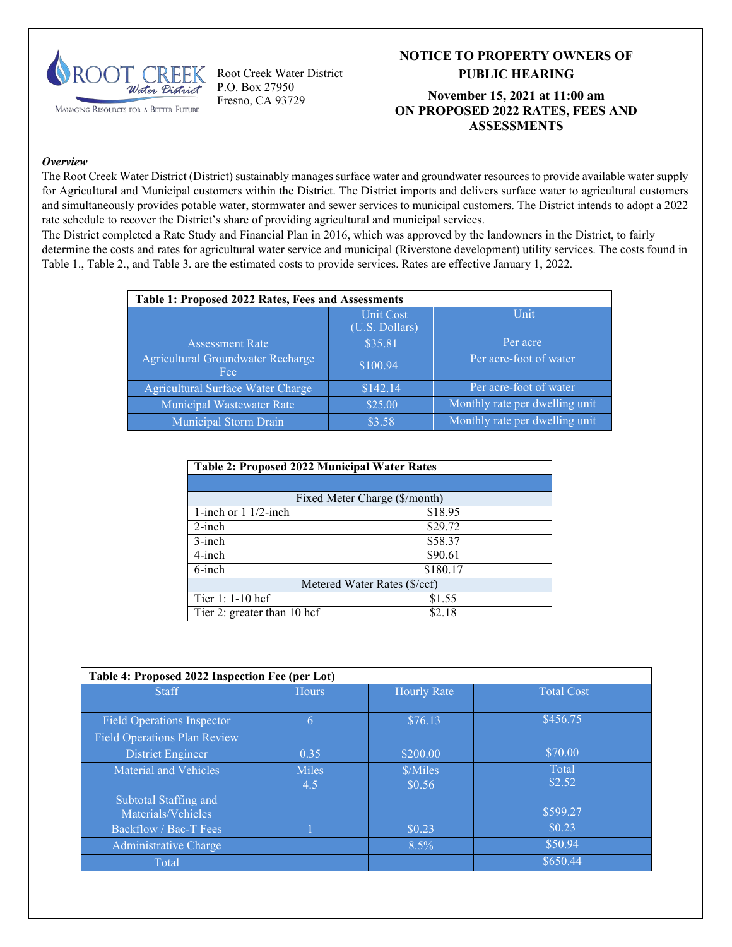

Root Creek Water District P.O. Box 27950 Fresno, CA 93729

# **NOTICE TO PROPERTY OWNERS OF PUBLIC HEARING**

#### **November 15, 2021 at 11:00 am ON PROPOSED 2022 RATES, FEES AND ASSESSMENTS**

#### *Overview*

The Root Creek Water District (District) sustainably manages surface water and groundwater resources to provide available water supply for Agricultural and Municipal customers within the District. The District imports and delivers surface water to agricultural customers and simultaneously provides potable water, stormwater and sewer services to municipal customers. The District intends to adopt a 2022 rate schedule to recover the District's share of providing agricultural and municipal services.

The District completed a Rate Study and Financial Plan in 2016, which was approved by the landowners in the District, to fairly determine the costs and rates for agricultural water service and municipal (Riverstone development) utility services. The costs found in Table 1., Table 2., and Table 3. are the estimated costs to provide services. Rates are effective January 1, 2022.

| Table 1: Proposed 2022 Rates, Fees and Assessments |                             |                                |  |  |
|----------------------------------------------------|-----------------------------|--------------------------------|--|--|
|                                                    | Unit Cost<br>(U.S. Dollars) | Unit                           |  |  |
| <b>Assessment Rate</b>                             | \$35.81                     | Per acre                       |  |  |
| Agricultural Groundwater Recharge<br>Fee           | \$100.94                    | Per acre-foot of water         |  |  |
| Agricultural Surface Water Charge                  | \$142.14                    | Per acre-foot of water         |  |  |
| Municipal Wastewater Rate                          | \$25.00                     | Monthly rate per dwelling unit |  |  |
| Municipal Storm Drain                              | \$3.58                      | Monthly rate per dwelling unit |  |  |

| <b>Table 2: Proposed 2022 Municipal Water Rates</b> |                               |  |  |  |
|-----------------------------------------------------|-------------------------------|--|--|--|
|                                                     |                               |  |  |  |
|                                                     | Fixed Meter Charge (\$/month) |  |  |  |
| 1-inch or $1 \frac{1}{2}$ -inch                     | \$18.95                       |  |  |  |
| $2$ -inch                                           | \$29.72                       |  |  |  |
| $3$ -inch<br>\$58.37                                |                               |  |  |  |
| $4$ -inch                                           | \$90.61                       |  |  |  |
| $6$ -inch                                           | \$180.17                      |  |  |  |
| Metered Water Rates (\$/ccf)                        |                               |  |  |  |
| Tier 1: 1-10 hcf                                    | \$1.55                        |  |  |  |
| Tier 2: greater than 10 hcf<br>\$2.18               |                               |  |  |  |

| Table 4: Proposed 2022 Inspection Fee (per Lot) |              |                    |                   |  |  |
|-------------------------------------------------|--------------|--------------------|-------------------|--|--|
| <b>Staff</b>                                    | <b>Hours</b> | <b>Hourly Rate</b> | <b>Total Cost</b> |  |  |
|                                                 |              |                    |                   |  |  |
| <b>Field Operations Inspector</b>               | 6            | \$76.13            | \$456.75          |  |  |
| <b>Field Operations Plan Review</b>             |              |                    |                   |  |  |
| District Engineer                               | 0.35         | \$200.00           | \$70.00           |  |  |
| Material and Vehicles                           | <b>Miles</b> | \$/Miles           | <b>Total</b>      |  |  |
|                                                 | 4.5          | \$0.56             | \$2.52            |  |  |
| Subtotal Staffing and                           |              |                    |                   |  |  |
| Materials/Vehicles                              |              |                    | \$599.27          |  |  |
| Backflow / Bac-T Fees                           |              | \$0.23             | \$0.23            |  |  |
| Administrative Charge                           |              | $8.5\%$            | \$50.94           |  |  |
| Total                                           |              |                    | \$650.44          |  |  |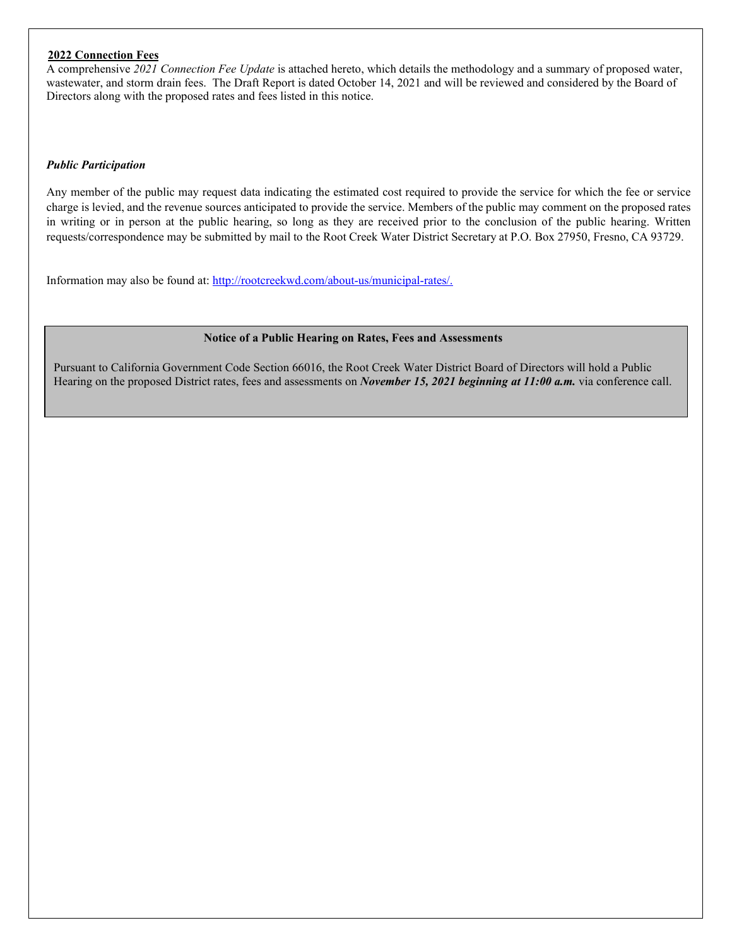#### **2022 Connection Fees**

A comprehensive *2021 Connection Fee Update* is attached hereto, which details the methodology and a summary of proposed water, wastewater, and storm drain fees. The Draft Report is dated October 14, 2021 and will be reviewed and considered by the Board of Directors along with the proposed rates and fees listed in this notice.

#### *Public Participation*

Any member of the public may request data indicating the estimated cost required to provide the service for which the fee or service charge is levied, and the revenue sources anticipated to provide the service. Members of the public may comment on the proposed rates in writing or in person at the public hearing, so long as they are received prior to the conclusion of the public hearing. Written requests/correspondence may be submitted by mail to the Root Creek Water District Secretary at P.O. Box 27950, Fresno, CA 93729.

Information may also be found at: [http://rootcreekwd.com/about-us/municipal-rates/.](http://rootcreekwd.com/about-us/municipal-rates/)

#### **Notice of a Public Hearing on Rates, Fees and Assessments**

Pursuant to California Government Code Section 66016, the Root Creek Water District Board of Directors will hold a Public Hearing on the proposed District rates, fees and assessments on *November 15, 2021 beginning at 11:00 a.m.* via conference call.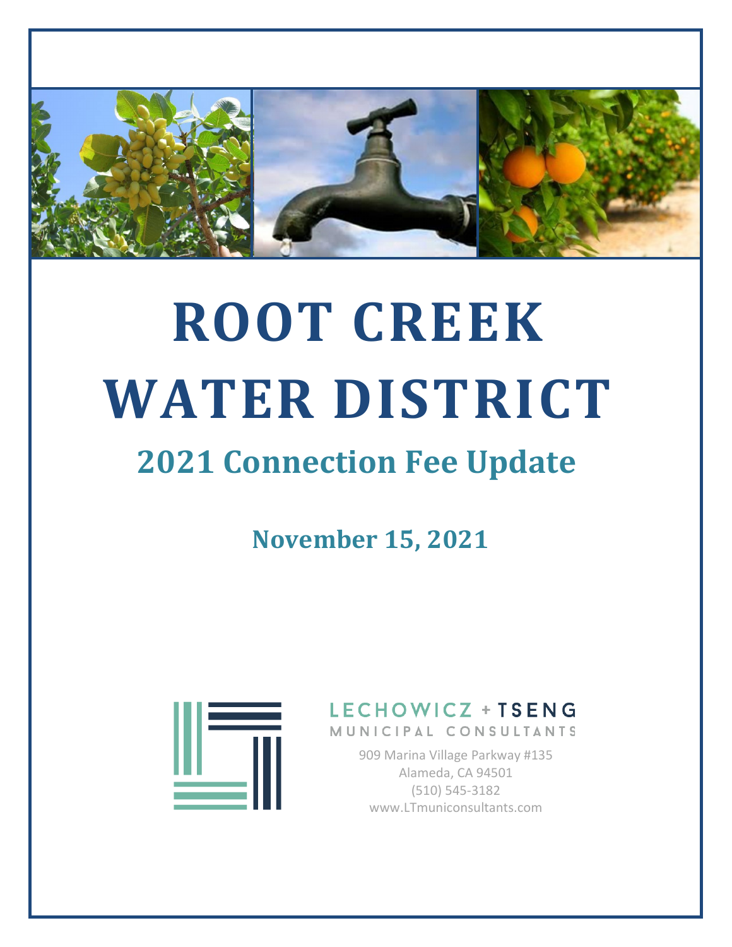

# **ROOT CREEK WATER DISTRICT**

# **2021 Connection Fee Update**

**November 15, 2021**



LECHOWICZ + TSENG MUNICIPAL CONSULTANTS

> 909 Marina Village Parkway #135 Alameda, CA 94501 (510) 545-3182 www.LTmuniconsultants.com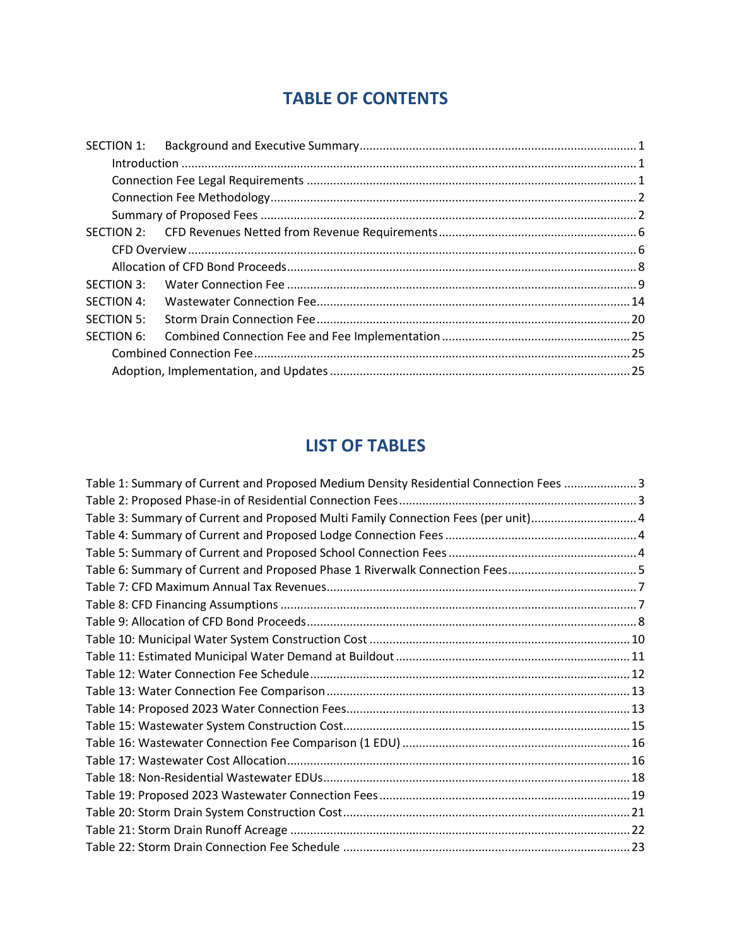# **TABLE OF CONTENTS**

| Introduction 1.1 |
|------------------|

# **LIST OF TABLES**

| Table 1: Summary of Current and Proposed Medium Density Residential Connection Fees 3 |  |
|---------------------------------------------------------------------------------------|--|
|                                                                                       |  |
| Table 3: Summary of Current and Proposed Multi Family Connection Fees (per unit)4     |  |
|                                                                                       |  |
|                                                                                       |  |
|                                                                                       |  |
|                                                                                       |  |
|                                                                                       |  |
|                                                                                       |  |
|                                                                                       |  |
|                                                                                       |  |
|                                                                                       |  |
|                                                                                       |  |
|                                                                                       |  |
|                                                                                       |  |
|                                                                                       |  |
|                                                                                       |  |
|                                                                                       |  |
|                                                                                       |  |
|                                                                                       |  |
|                                                                                       |  |
|                                                                                       |  |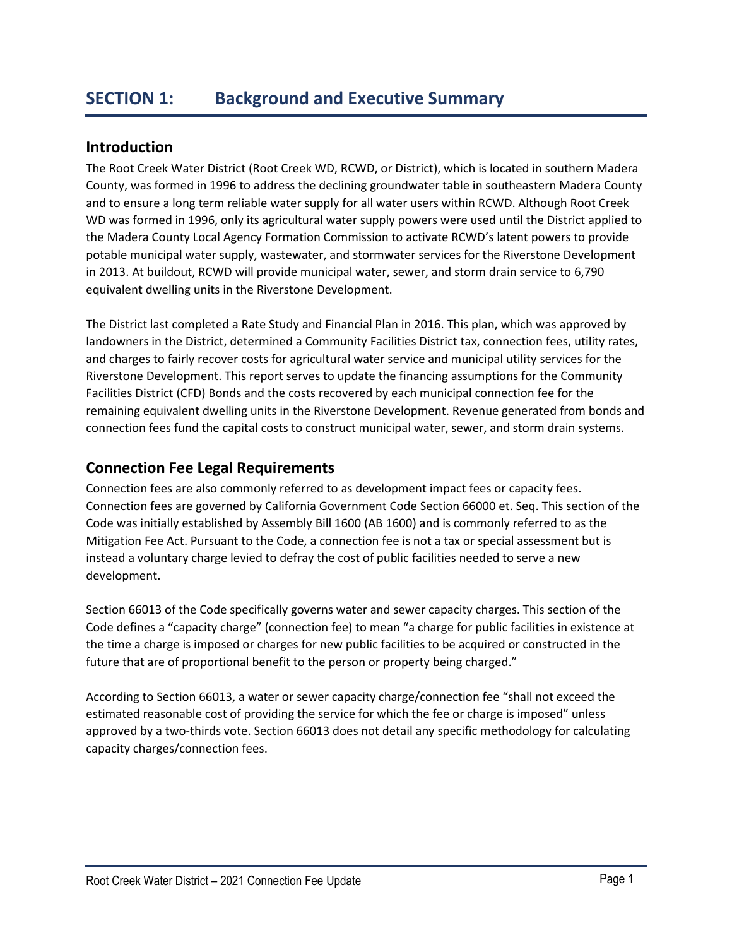# **Introduction**

The Root Creek Water District (Root Creek WD, RCWD, or District), which is located in southern Madera County, was formed in 1996 to address the declining groundwater table in southeastern Madera County and to ensure a long term reliable water supply for all water users within RCWD. Although Root Creek WD was formed in 1996, only its agricultural water supply powers were used until the District applied to the Madera County Local Agency Formation Commission to activate RCWD's latent powers to provide potable municipal water supply, wastewater, and stormwater services for the Riverstone Development in 2013. At buildout, RCWD will provide municipal water, sewer, and storm drain service to 6,790 equivalent dwelling units in the Riverstone Development.

The District last completed a Rate Study and Financial Plan in 2016. This plan, which was approved by landowners in the District, determined a Community Facilities District tax, connection fees, utility rates, and charges to fairly recover costs for agricultural water service and municipal utility services for the Riverstone Development. This report serves to update the financing assumptions for the Community Facilities District (CFD) Bonds and the costs recovered by each municipal connection fee for the remaining equivalent dwelling units in the Riverstone Development. Revenue generated from bonds and connection fees fund the capital costs to construct municipal water, sewer, and storm drain systems.

# **Connection Fee Legal Requirements**

Connection fees are also commonly referred to as development impact fees or capacity fees. Connection fees are governed by California Government Code Section 66000 et. Seq. This section of the Code was initially established by Assembly Bill 1600 (AB 1600) and is commonly referred to as the Mitigation Fee Act. Pursuant to the Code, a connection fee is not a tax or special assessment but is instead a voluntary charge levied to defray the cost of public facilities needed to serve a new development.

Section 66013 of the Code specifically governs water and sewer capacity charges. This section of the Code defines a "capacity charge" (connection fee) to mean "a charge for public facilities in existence at the time a charge is imposed or charges for new public facilities to be acquired or constructed in the future that are of proportional benefit to the person or property being charged."

According to Section 66013, a water or sewer capacity charge/connection fee "shall not exceed the estimated reasonable cost of providing the service for which the fee or charge is imposed" unless approved by a two-thirds vote. Section 66013 does not detail any specific methodology for calculating capacity charges/connection fees.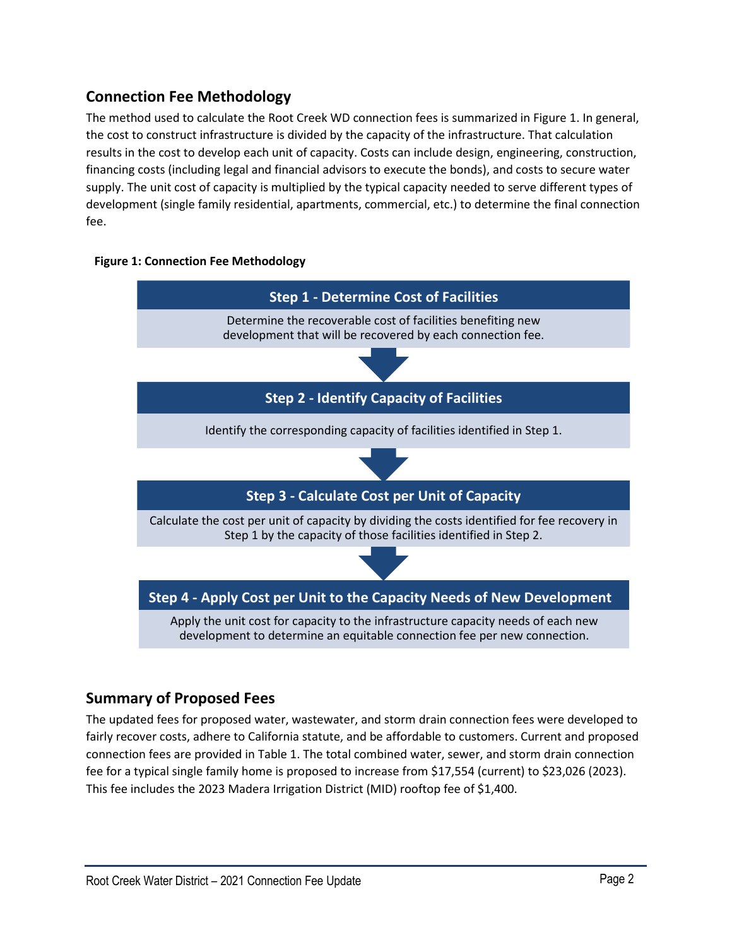# **Connection Fee Methodology**

The method used to calculate the Root Creek WD connection fees is summarized in Figure 1. In general, the cost to construct infrastructure is divided by the capacity of the infrastructure. That calculation results in the cost to develop each unit of capacity. Costs can include design, engineering, construction, financing costs (including legal and financial advisors to execute the bonds), and costs to secure water supply. The unit cost of capacity is multiplied by the typical capacity needed to serve different types of development (single family residential, apartments, commercial, etc.) to determine the final connection fee.

# **Figure 1: Connection Fee Methodology**



# **Summary of Proposed Fees**

The updated fees for proposed water, wastewater, and storm drain connection fees were developed to fairly recover costs, adhere to California statute, and be affordable to customers. Current and proposed connection fees are provided in Table 1. The total combined water, sewer, and storm drain connection fee for a typical single family home is proposed to increase from \$17,554 (current) to \$23,026 (2023). This fee includes the 2023 Madera Irrigation District (MID) rooftop fee of \$1,400.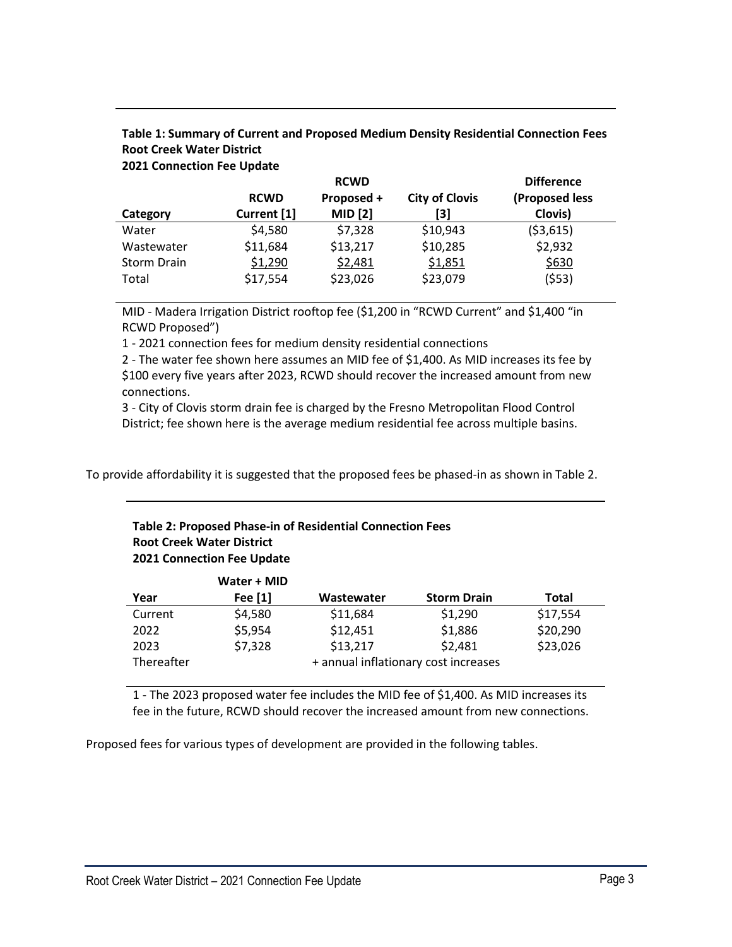|                    | <b>RCWD</b> | <b>RCWD</b><br>Proposed + | <b>City of Clovis</b> | <b>Difference</b><br>(Proposed less |
|--------------------|-------------|---------------------------|-----------------------|-------------------------------------|
| Category           | Current [1] | <b>MID</b> [2]            | [3]                   | Clovis)                             |
| Water              | \$4,580     | \$7,328                   | \$10,943              | ( \$3,615)                          |
| Wastewater         | \$11,684    | \$13,217                  | \$10,285              | \$2,932                             |
| <b>Storm Drain</b> | \$1,290     | \$2,481                   | \$1,851               | \$630                               |
| Total              | \$17,554    | \$23,026                  | \$23,079              | (553)                               |

# **Table 1: Summary of Current and Proposed Medium Density Residential Connection Fees Root Creek Water District**

**2021 Connection Fee Update**

MID - Madera Irrigation District rooftop fee (\$1,200 in "RCWD Current" and \$1,400 "in RCWD Proposed")

1 - 2021 connection fees for medium density residential connections

2 - The water fee shown here assumes an MID fee of \$1,400. As MID increases its fee by \$100 every five years after 2023, RCWD should recover the increased amount from new connections.

3 - City of Clovis storm drain fee is charged by the Fresno Metropolitan Flood Control District; fee shown here is the average medium residential fee across multiple basins.

To provide affordability it is suggested that the proposed fees be phased-in as shown in Table 2.

# **Table 2: Proposed Phase-in of Residential Connection Fees Root Creek Water District 2021 Connection Fee Update**

|            | Water + MID |            |                                      |              |
|------------|-------------|------------|--------------------------------------|--------------|
| Year       | Fee [1]     | Wastewater | <b>Storm Drain</b>                   | <b>Total</b> |
| Current    | \$4,580     | \$11,684   | \$1,290                              | \$17,554     |
| 2022       | \$5,954     | \$12,451   | \$1,886                              | \$20,290     |
| 2023       | \$7,328     | \$13,217   | \$2,481                              | \$23,026     |
| Thereafter |             |            | + annual inflationary cost increases |              |

1 - The 2023 proposed water fee includes the MID fee of \$1,400. As MID increases its fee in the future, RCWD should recover the increased amount from new connections.

Proposed fees for various types of development are provided in the following tables.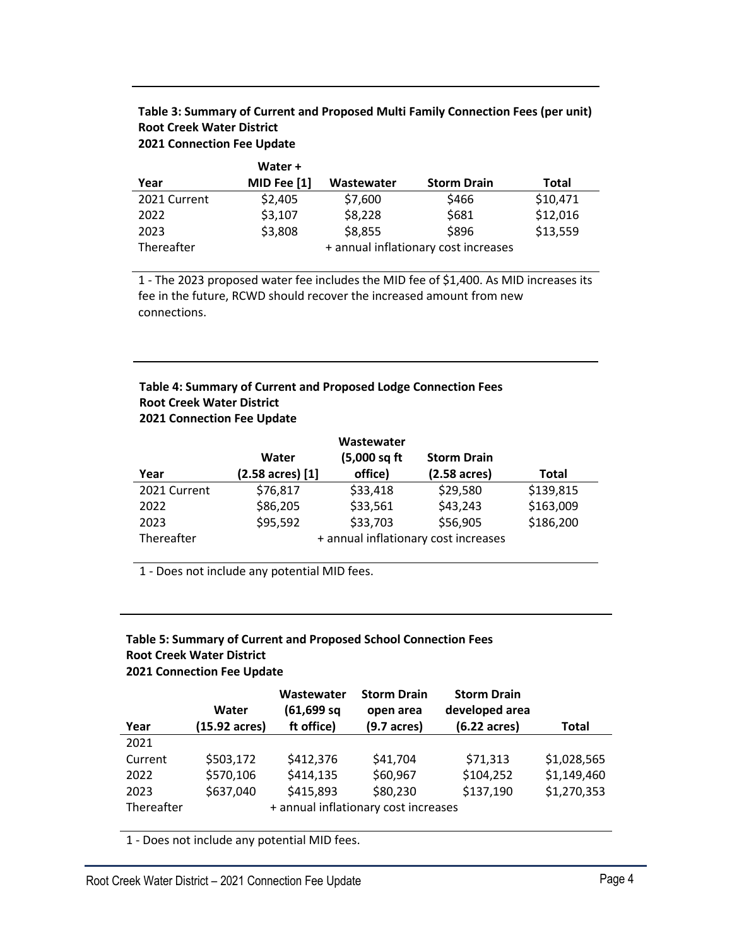| Table 3: Summary of Current and Proposed Multi Family Connection Fees (per unit) |
|----------------------------------------------------------------------------------|
| <b>Root Creek Water District</b>                                                 |
| <b>2021 Connection Fee Update</b>                                                |

|              | Water +     |            |                                      |          |
|--------------|-------------|------------|--------------------------------------|----------|
| Year         | MID Fee [1] | Wastewater | <b>Storm Drain</b>                   | Total    |
| 2021 Current | \$2,405     | \$7,600    | \$466                                | \$10,471 |
| 2022         | \$3,107     | \$8,228    | \$681                                | \$12,016 |
| 2023         | \$3,808     | \$8,855    | \$896                                | \$13,559 |
| Thereafter   |             |            | + annual inflationary cost increases |          |

1 - The 2023 proposed water fee includes the MID fee of \$1,400. As MID increases its fee in the future, RCWD should recover the increased amount from new connections.

# **Table 4: Summary of Current and Proposed Lodge Connection Fees Root Creek Water District 2021 Connection Fee Update**

|              |                  | Wastewater   |                                      |              |
|--------------|------------------|--------------|--------------------------------------|--------------|
|              | Water            | (5,000 sq ft | <b>Storm Drain</b>                   |              |
| Year         | (2.58 acres) [1] | office)      | $(2.58 \text{ acres})$               | <b>Total</b> |
| 2021 Current | \$76,817         | \$33,418     | \$29,580                             | \$139,815    |
| 2022         | \$86,205         | \$33,561     | \$43,243                             | \$163,009    |
| 2023         | \$95,592         | \$33,703     | \$56,905                             | \$186,200    |
| Thereafter   |                  |              | + annual inflationary cost increases |              |

1 - Does not include any potential MID fees.

# **Table 5: Summary of Current and Proposed School Connection Fees Root Creek Water District 2021 Connection Fee Update**

|            | Water         | Wastewater<br>$(61, 699)$ sq | <b>Storm Drain</b><br>open area      | <b>Storm Drain</b><br>developed area |              |
|------------|---------------|------------------------------|--------------------------------------|--------------------------------------|--------------|
| Year       | (15.92 acres) | ft office)                   | $(9.7 \text{ acres})$                | $(6.22 \text{ acres})$               | <b>Total</b> |
| 2021       |               |                              |                                      |                                      |              |
| Current    | \$503,172     | \$412,376                    | \$41,704                             | \$71,313                             | \$1,028,565  |
| 2022       | \$570,106     | \$414,135                    | \$60,967                             | \$104,252                            | \$1,149,460  |
| 2023       | \$637,040     | \$415,893                    | \$80,230                             | \$137,190                            | \$1,270,353  |
| Thereafter |               |                              | + annual inflationary cost increases |                                      |              |

1 - Does not include any potential MID fees.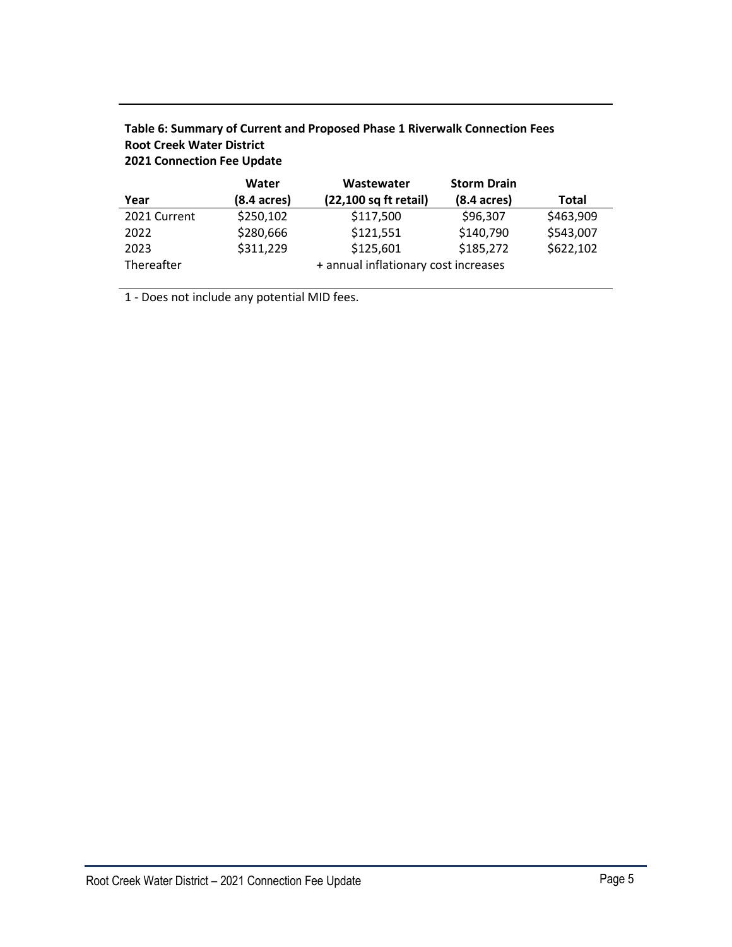|              | Water                                | Wastewater            | <b>Storm Drain</b>    |              |
|--------------|--------------------------------------|-----------------------|-----------------------|--------------|
| Year         | (8.4 acres)                          | (22,100 sq ft retail) | $(8.4 \text{ acres})$ | <b>Total</b> |
| 2021 Current | \$250,102                            | \$117,500             | \$96,307              | \$463,909    |
| 2022         | \$280,666                            | \$121,551             | \$140,790             | \$543,007    |
| 2023         | \$311,229                            | \$125,601             | \$185,272             | \$622,102    |
| Thereafter   | + annual inflationary cost increases |                       |                       |              |

# **Table 6: Summary of Current and Proposed Phase 1 Riverwalk Connection Fees Root Creek Water District 2021 Connection Fee Update**

1 - Does not include any potential MID fees.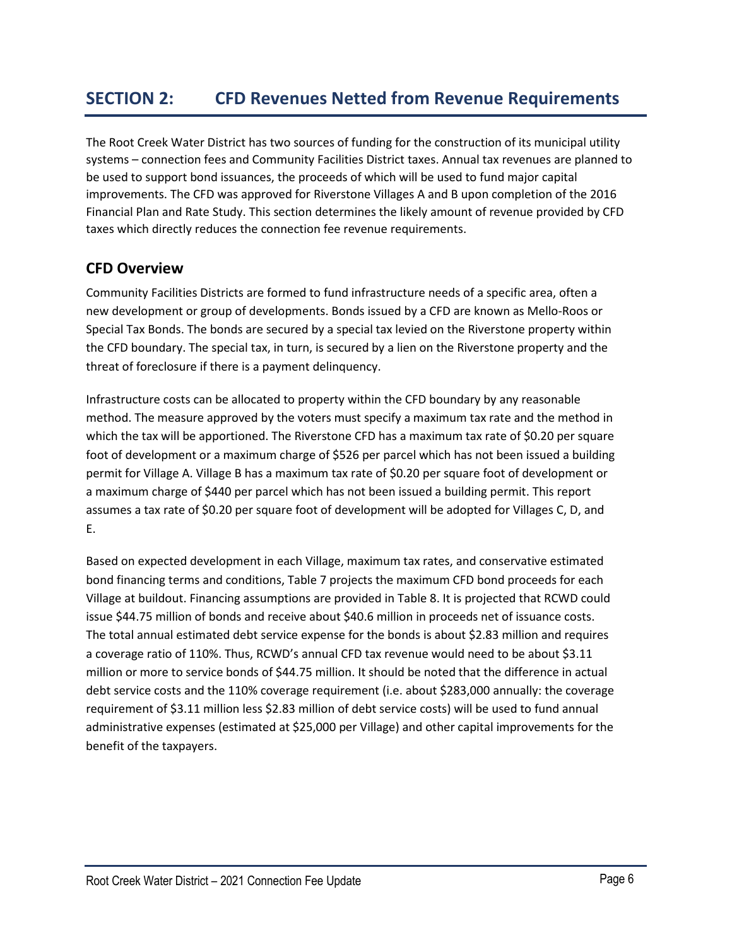The Root Creek Water District has two sources of funding for the construction of its municipal utility systems – connection fees and Community Facilities District taxes. Annual tax revenues are planned to be used to support bond issuances, the proceeds of which will be used to fund major capital improvements. The CFD was approved for Riverstone Villages A and B upon completion of the 2016 Financial Plan and Rate Study. This section determines the likely amount of revenue provided by CFD taxes which directly reduces the connection fee revenue requirements.

# **CFD Overview**

Community Facilities Districts are formed to fund infrastructure needs of a specific area, often a new development or group of developments. Bonds issued by a CFD are known as Mello-Roos or Special Tax Bonds. The bonds are secured by a special tax levied on the Riverstone property within the CFD boundary. The special tax, in turn, is secured by a lien on the Riverstone property and the threat of foreclosure if there is a payment delinquency.

Infrastructure costs can be allocated to property within the CFD boundary by any reasonable method. The measure approved by the voters must specify a maximum tax rate and the method in which the tax will be apportioned. The Riverstone CFD has a maximum tax rate of \$0.20 per square foot of development or a maximum charge of \$526 per parcel which has not been issued a building permit for Village A. Village B has a maximum tax rate of \$0.20 per square foot of development or a maximum charge of \$440 per parcel which has not been issued a building permit. This report assumes a tax rate of \$0.20 per square foot of development will be adopted for Villages C, D, and E.

Based on expected development in each Village, maximum tax rates, and conservative estimated bond financing terms and conditions, Table 7 projects the maximum CFD bond proceeds for each Village at buildout. Financing assumptions are provided in Table 8. It is projected that RCWD could issue \$44.75 million of bonds and receive about \$40.6 million in proceeds net of issuance costs. The total annual estimated debt service expense for the bonds is about \$2.83 million and requires a coverage ratio of 110%. Thus, RCWD's annual CFD tax revenue would need to be about \$3.11 million or more to service bonds of \$44.75 million. It should be noted that the difference in actual debt service costs and the 110% coverage requirement (i.e. about \$283,000 annually: the coverage requirement of \$3.11 million less \$2.83 million of debt service costs) will be used to fund annual administrative expenses (estimated at \$25,000 per Village) and other capital improvements for the benefit of the taxpayers.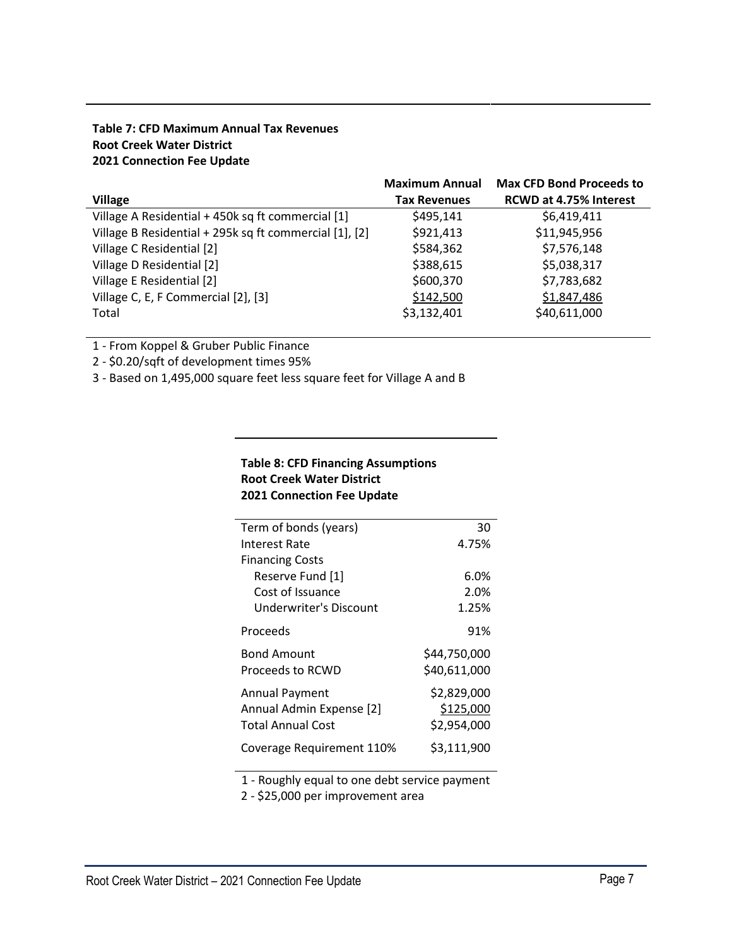# **Table 7: CFD Maximum Annual Tax Revenues Root Creek Water District 2021 Connection Fee Update**

|                                                        | <b>Maximum Annual</b> | <b>Max CFD Bond Proceeds to</b> |
|--------------------------------------------------------|-----------------------|---------------------------------|
| <b>Village</b>                                         | <b>Tax Revenues</b>   | <b>RCWD at 4.75% Interest</b>   |
| Village A Residential + 450k sq ft commercial [1]      | \$495,141             | \$6,419,411                     |
| Village B Residential + 295k sq ft commercial [1], [2] | \$921,413             | \$11,945,956                    |
| Village C Residential [2]                              | \$584,362             | \$7,576,148                     |
| Village D Residential [2]                              | \$388,615             | \$5,038,317                     |
| Village E Residential [2]                              | \$600,370             | \$7,783,682                     |
| Village C, E, F Commercial [2], [3]                    | \$142,500             | \$1,847,486                     |
| Total                                                  | \$3,132,401           | \$40,611,000                    |

1 - From Koppel & Gruber Public Finance

2 - \$0.20/sqft of development times 95%

3 - Based on 1,495,000 square feet less square feet for Village A and B

# **Table 8: CFD Financing Assumptions Root Creek Water District 2021 Connection Fee Update**

| Term of bonds (years)     | 30           |
|---------------------------|--------------|
| Interest Rate             | 4.75%        |
| <b>Financing Costs</b>    |              |
| Reserve Fund [1]          | 6.0%         |
| Cost of Issuance          | 2.0%         |
| Underwriter's Discount    | 1.25%        |
| Proceeds                  | 91%          |
| <b>Bond Amount</b>        | \$44,750,000 |
| Proceeds to RCWD          | \$40,611,000 |
| <b>Annual Payment</b>     | \$2,829,000  |
| Annual Admin Expense [2]  | \$125,000    |
| <b>Total Annual Cost</b>  | \$2,954,000  |
| Coverage Requirement 110% | \$3,111,900  |

1 - Roughly equal to one debt service payment

2 - \$25,000 per improvement area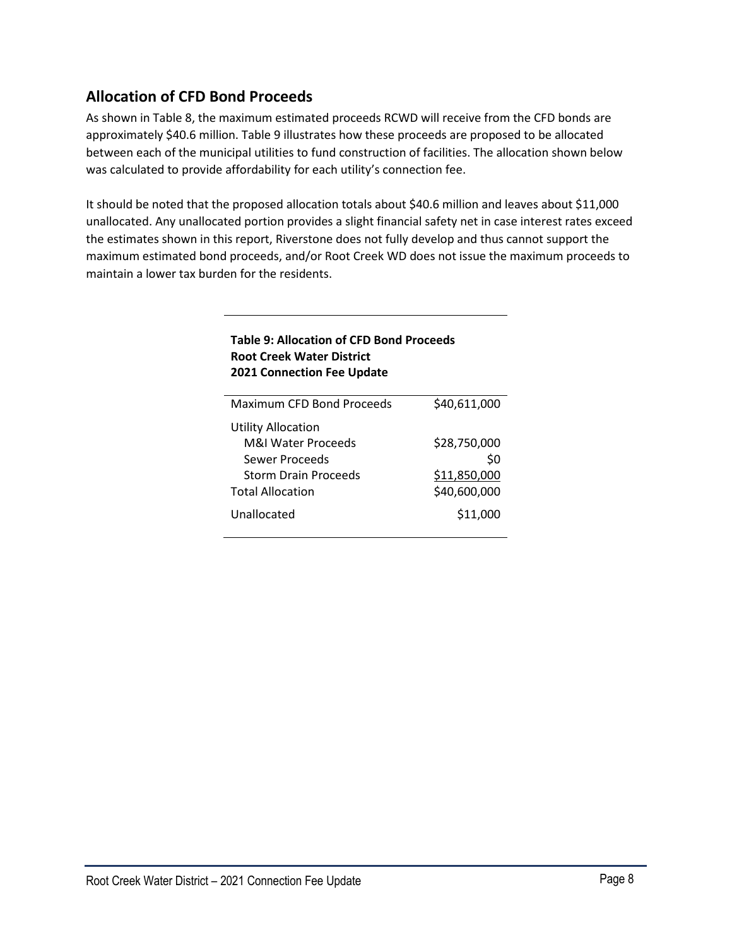# **Allocation of CFD Bond Proceeds**

As shown in Table 8, the maximum estimated proceeds RCWD will receive from the CFD bonds are approximately \$40.6 million. Table 9 illustrates how these proceeds are proposed to be allocated between each of the municipal utilities to fund construction of facilities. The allocation shown below was calculated to provide affordability for each utility's connection fee.

It should be noted that the proposed allocation totals about \$40.6 million and leaves about \$11,000 unallocated. Any unallocated portion provides a slight financial safety net in case interest rates exceed the estimates shown in this report, Riverstone does not fully develop and thus cannot support the maximum estimated bond proceeds, and/or Root Creek WD does not issue the maximum proceeds to maintain a lower tax burden for the residents.

| נשטונ ט. הווטכפנוטוו טו כו ט טטוופ ו וטכככפ<br><b>Root Creek Water District</b><br><b>2021 Connection Fee Update</b> |              |  |  |  |
|----------------------------------------------------------------------------------------------------------------------|--------------|--|--|--|
| Maximum CFD Bond Proceeds                                                                                            | \$40,611,000 |  |  |  |
| <b>Utility Allocation</b>                                                                                            |              |  |  |  |
| M&I Water Proceeds                                                                                                   | \$28,750,000 |  |  |  |
| Sewer Proceeds                                                                                                       | \$0          |  |  |  |
| <b>Storm Drain Proceeds</b>                                                                                          | \$11,850,000 |  |  |  |
| <b>Total Allocation</b>                                                                                              | \$40,600,000 |  |  |  |
| Unallocated                                                                                                          | \$11,000     |  |  |  |
|                                                                                                                      |              |  |  |  |

# **Table 9: Allocation of CFD Bond Proceeds**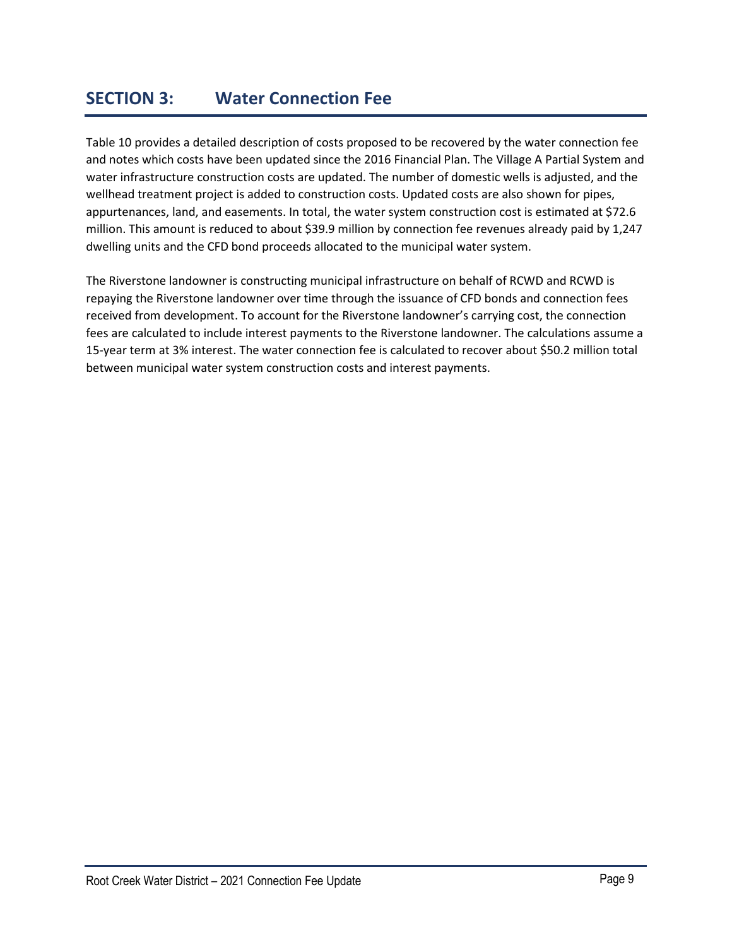# **SECTION 3: Water Connection Fee**

Table 10 provides a detailed description of costs proposed to be recovered by the water connection fee and notes which costs have been updated since the 2016 Financial Plan. The Village A Partial System and water infrastructure construction costs are updated. The number of domestic wells is adjusted, and the wellhead treatment project is added to construction costs. Updated costs are also shown for pipes, appurtenances, land, and easements. In total, the water system construction cost is estimated at \$72.6 million. This amount is reduced to about \$39.9 million by connection fee revenues already paid by 1,247 dwelling units and the CFD bond proceeds allocated to the municipal water system.

The Riverstone landowner is constructing municipal infrastructure on behalf of RCWD and RCWD is repaying the Riverstone landowner over time through the issuance of CFD bonds and connection fees received from development. To account for the Riverstone landowner's carrying cost, the connection fees are calculated to include interest payments to the Riverstone landowner. The calculations assume a 15-year term at 3% interest. The water connection fee is calculated to recover about \$50.2 million total between municipal water system construction costs and interest payments.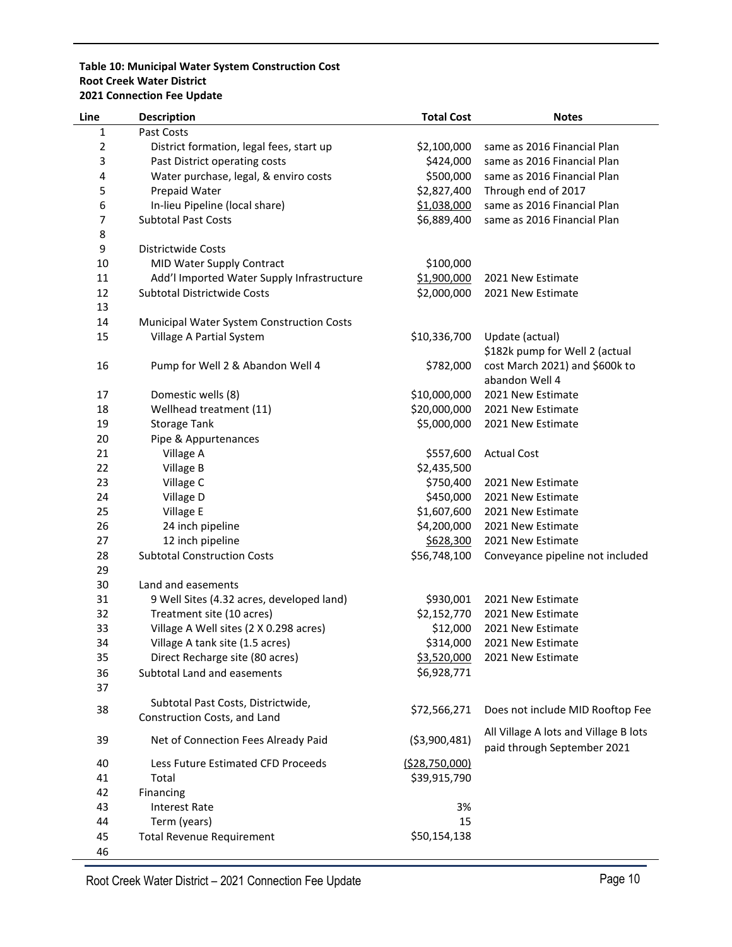#### **Table 10: Municipal Water System Construction Cost Root Creek Water District 2021 Connection Fee Update**

| Line           | <b>Description</b>                         | <b>Total Cost</b> | <b>Notes</b>                          |
|----------------|--------------------------------------------|-------------------|---------------------------------------|
| $\mathbf{1}$   | Past Costs                                 |                   |                                       |
| $\overline{2}$ | District formation, legal fees, start up   | \$2,100,000       | same as 2016 Financial Plan           |
| 3              | Past District operating costs              | \$424,000         | same as 2016 Financial Plan           |
| 4              | Water purchase, legal, & enviro costs      | \$500,000         | same as 2016 Financial Plan           |
| 5              | Prepaid Water                              | \$2,827,400       | Through end of 2017                   |
| 6              | In-lieu Pipeline (local share)             | \$1,038,000       | same as 2016 Financial Plan           |
| 7              | <b>Subtotal Past Costs</b>                 | \$6,889,400       | same as 2016 Financial Plan           |
| 8              |                                            |                   |                                       |
| 9              | Districtwide Costs                         |                   |                                       |
| 10             | MID Water Supply Contract                  | \$100,000         |                                       |
| 11             | Add'l Imported Water Supply Infrastructure | \$1,900,000       | 2021 New Estimate                     |
| 12             | <b>Subtotal Districtwide Costs</b>         | \$2,000,000       | 2021 New Estimate                     |
| 13             |                                            |                   |                                       |
| 14             | Municipal Water System Construction Costs  |                   |                                       |
| 15             | Village A Partial System                   | \$10,336,700      | Update (actual)                       |
|                |                                            |                   | \$182k pump for Well 2 (actual        |
| 16             | Pump for Well 2 & Abandon Well 4           | \$782,000         | cost March 2021) and \$600k to        |
|                |                                            |                   | abandon Well 4                        |
| 17             | Domestic wells (8)                         | \$10,000,000      | 2021 New Estimate                     |
| 18             | Wellhead treatment (11)                    | \$20,000,000      | 2021 New Estimate                     |
| 19             | <b>Storage Tank</b>                        | \$5,000,000       | 2021 New Estimate                     |
| 20             | Pipe & Appurtenances                       |                   |                                       |
| 21             | Village A                                  | \$557,600         | <b>Actual Cost</b>                    |
| 22             | Village B                                  | \$2,435,500       |                                       |
| 23             | Village C                                  | \$750,400         | 2021 New Estimate                     |
| 24             | Village D                                  | \$450,000         | 2021 New Estimate                     |
| 25             | Village E                                  | \$1,607,600       | 2021 New Estimate                     |
| 26             | 24 inch pipeline                           | \$4,200,000       | 2021 New Estimate                     |
| 27             | 12 inch pipeline                           | \$628,300         | 2021 New Estimate                     |
| 28             | <b>Subtotal Construction Costs</b>         | \$56,748,100      | Conveyance pipeline not included      |
| 29             |                                            |                   |                                       |
| 30             | Land and easements                         |                   |                                       |
| 31             | 9 Well Sites (4.32 acres, developed land)  | \$930,001         | 2021 New Estimate                     |
| 32             | Treatment site (10 acres)                  | \$2,152,770       | 2021 New Estimate                     |
| 33             | Village A Well sites (2 X 0.298 acres)     | \$12,000          | 2021 New Estimate                     |
| 34             | Village A tank site (1.5 acres)            | \$314,000         | 2021 New Estimate                     |
| 35             | Direct Recharge site (80 acres)            | \$3,520,000       | 2021 New Estimate                     |
| 36             | Subtotal Land and easements                | \$6,928,771       |                                       |
| 37             |                                            |                   |                                       |
|                | Subtotal Past Costs, Districtwide,         |                   |                                       |
| 38             | Construction Costs, and Land               | \$72,566,271      | Does not include MID Rooftop Fee      |
|                |                                            |                   | All Village A lots and Village B lots |
| 39             | Net of Connection Fees Already Paid        | ( \$3,900,481)    | paid through September 2021           |
| 40             | Less Future Estimated CFD Proceeds         | (528, 750, 000)   |                                       |
|                |                                            |                   |                                       |
| 41             | Total                                      | \$39,915,790      |                                       |
| 42             | Financing                                  | 3%                |                                       |
| 43<br>44       | <b>Interest Rate</b><br>Term (years)       | 15                |                                       |
|                |                                            | \$50,154,138      |                                       |
| 45             | <b>Total Revenue Requirement</b>           |                   |                                       |
| 46             |                                            |                   |                                       |

Root Creek Water District – 2021 Connection Fee Update **Page 10** Page 10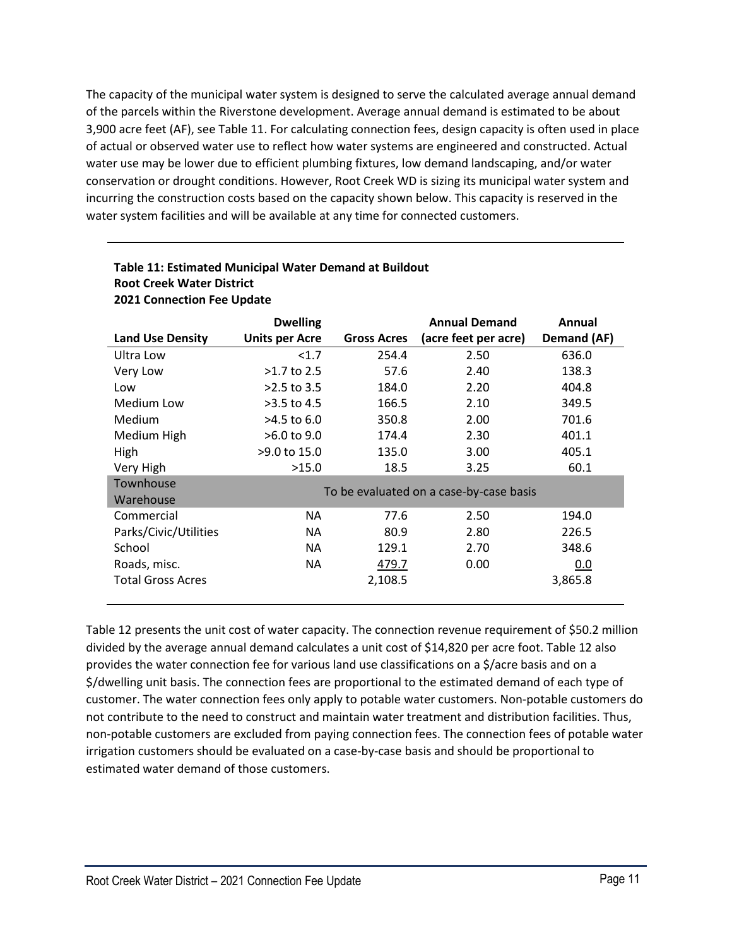The capacity of the municipal water system is designed to serve the calculated average annual demand of the parcels within the Riverstone development. Average annual demand is estimated to be about 3,900 acre feet (AF), see Table 11. For calculating connection fees, design capacity is often used in place of actual or observed water use to reflect how water systems are engineered and constructed. Actual water use may be lower due to efficient plumbing fixtures, low demand landscaping, and/or water conservation or drought conditions. However, Root Creek WD is sizing its municipal water system and incurring the construction costs based on the capacity shown below. This capacity is reserved in the water system facilities and will be available at any time for connected customers.

|                          | <b>Dwelling</b>       |                    | <b>Annual Demand</b>                    | Annual      |
|--------------------------|-----------------------|--------------------|-----------------------------------------|-------------|
| <b>Land Use Density</b>  | <b>Units per Acre</b> | <b>Gross Acres</b> | (acre feet per acre)                    | Demand (AF) |
| Ultra Low                | < 1.7                 | 254.4              | 2.50                                    | 636.0       |
| Very Low                 | $>1.7$ to 2.5         | 57.6               | 2.40                                    | 138.3       |
| Low                      | $>2.5$ to 3.5         | 184.0              | 2.20                                    | 404.8       |
| Medium Low               | $>3.5$ to 4.5         | 166.5              | 2.10                                    | 349.5       |
| <b>Medium</b>            | >4.5 to 6.0           | 350.8              | 2.00                                    | 701.6       |
| Medium High              | >6.0 to 9.0           | 174.4              | 2.30                                    | 401.1       |
| High                     | >9.0 to 15.0          | 135.0              | 3.00                                    | 405.1       |
| Very High                | >15.0                 | 18.5               | 3.25                                    | 60.1        |
| Townhouse                |                       |                    | To be evaluated on a case-by-case basis |             |
| Warehouse                |                       |                    |                                         |             |
| Commercial               | NA.                   | 77.6               | 2.50                                    | 194.0       |
| Parks/Civic/Utilities    | NA.                   | 80.9               | 2.80                                    | 226.5       |
| School                   | NA.                   | 129.1              | 2.70                                    | 348.6       |
| Roads, misc.             | NA.                   | 479.7              | 0.00                                    | 0.0         |
| <b>Total Gross Acres</b> |                       | 2,108.5            |                                         | 3,865.8     |

## **Table 11: Estimated Municipal Water Demand at Buildout Root Creek Water District 2021 Connection Fee Update**

Table 12 presents the unit cost of water capacity. The connection revenue requirement of \$50.2 million divided by the average annual demand calculates a unit cost of \$14,820 per acre foot. Table 12 also provides the water connection fee for various land use classifications on a \$/acre basis and on a \$/dwelling unit basis. The connection fees are proportional to the estimated demand of each type of customer. The water connection fees only apply to potable water customers. Non-potable customers do not contribute to the need to construct and maintain water treatment and distribution facilities. Thus, non-potable customers are excluded from paying connection fees. The connection fees of potable water irrigation customers should be evaluated on a case-by-case basis and should be proportional to estimated water demand of those customers.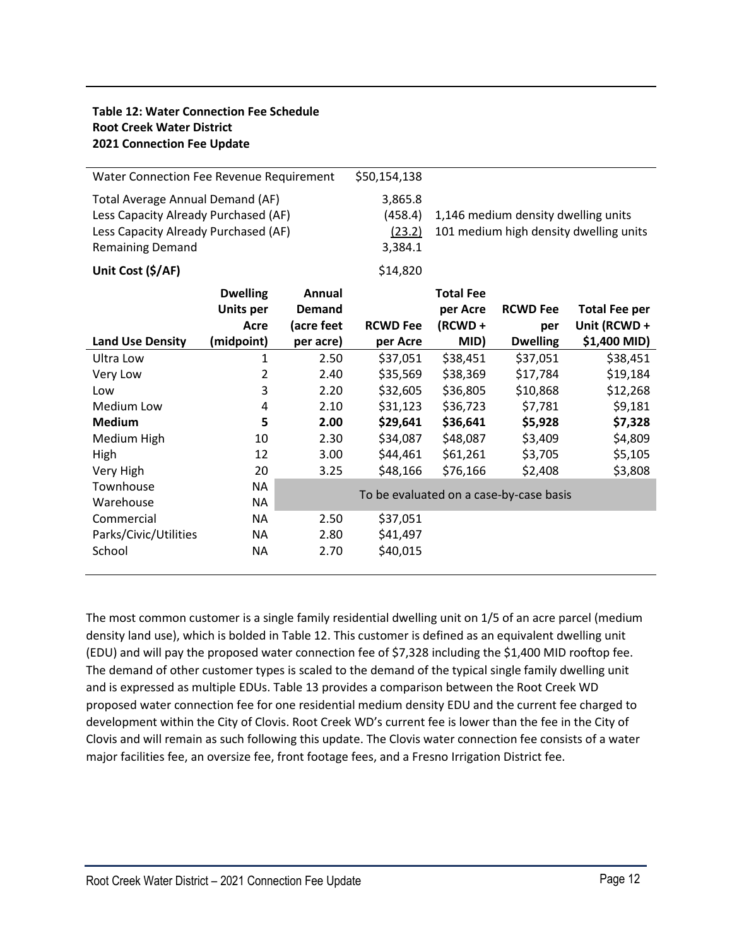# **Table 12: Water Connection Fee Schedule Root Creek Water District 2021 Connection Fee Update**

| Water Connection Fee Revenue Requirement                                                                                                    |                  | \$50,154,138                            |                                                                               |                  |                 |                      |
|---------------------------------------------------------------------------------------------------------------------------------------------|------------------|-----------------------------------------|-------------------------------------------------------------------------------|------------------|-----------------|----------------------|
| Total Average Annual Demand (AF)<br>Less Capacity Already Purchased (AF)<br>Less Capacity Already Purchased (AF)<br><b>Remaining Demand</b> |                  | 3,865.8<br>(458.4)<br>(23.2)<br>3,384.1 | 1,146 medium density dwelling units<br>101 medium high density dwelling units |                  |                 |                      |
| Unit Cost (\$/AF)                                                                                                                           |                  |                                         | \$14,820                                                                      |                  |                 |                      |
|                                                                                                                                             | <b>Dwelling</b>  | Annual                                  |                                                                               | <b>Total Fee</b> |                 |                      |
|                                                                                                                                             | <b>Units per</b> | <b>Demand</b>                           |                                                                               | per Acre         | <b>RCWD Fee</b> | <b>Total Fee per</b> |
|                                                                                                                                             | Acre             | (acre feet                              | <b>RCWD Fee</b>                                                               | $(RCWD +$        | per             | Unit (RCWD +         |
| <b>Land Use Density</b>                                                                                                                     | (midpoint)       | per acre)                               | per Acre                                                                      | MID)             | <b>Dwelling</b> | \$1,400 MID)         |
| Ultra Low                                                                                                                                   | 1                | 2.50                                    | \$37,051                                                                      | \$38,451         | \$37,051        | \$38,451             |
| Very Low                                                                                                                                    | 2                | 2.40                                    | \$35,569                                                                      | \$38,369         | \$17,784        | \$19,184             |
| Low                                                                                                                                         | 3                | 2.20                                    | \$32,605                                                                      | \$36,805         | \$10,868        | \$12,268             |
| Medium Low                                                                                                                                  | 4                | 2.10                                    | \$31,123                                                                      | \$36,723         | \$7,781         | \$9,181              |
| <b>Medium</b>                                                                                                                               | 5                | 2.00                                    | \$29,641                                                                      | \$36,641         | \$5,928         | \$7,328              |
| Medium High                                                                                                                                 | 10               | 2.30                                    | \$34,087                                                                      | \$48,087         | \$3,409         | \$4,809              |
| High                                                                                                                                        | 12               | 3.00                                    | \$44,461                                                                      | \$61,261         | \$3,705         | \$5,105              |
| Very High                                                                                                                                   | 20               | 3.25                                    | \$48,166                                                                      | \$76,166         | \$2,408         | \$3,808              |
| Townhouse                                                                                                                                   | NA               |                                         |                                                                               |                  |                 |                      |
| Warehouse                                                                                                                                   | <b>NA</b>        | To be evaluated on a case-by-case basis |                                                                               |                  |                 |                      |
| Commercial                                                                                                                                  | <b>NA</b>        | 2.50                                    | \$37,051                                                                      |                  |                 |                      |
| Parks/Civic/Utilities                                                                                                                       | <b>NA</b>        | 2.80                                    | \$41,497                                                                      |                  |                 |                      |
| School                                                                                                                                      | <b>NA</b>        | 2.70                                    | \$40,015                                                                      |                  |                 |                      |
|                                                                                                                                             |                  |                                         |                                                                               |                  |                 |                      |

The most common customer is a single family residential dwelling unit on 1/5 of an acre parcel (medium density land use), which is bolded in Table 12. This customer is defined as an equivalent dwelling unit (EDU) and will pay the proposed water connection fee of \$7,328 including the \$1,400 MID rooftop fee. The demand of other customer types is scaled to the demand of the typical single family dwelling unit and is expressed as multiple EDUs. Table 13 provides a comparison between the Root Creek WD proposed water connection fee for one residential medium density EDU and the current fee charged to development within the City of Clovis. Root Creek WD's current fee is lower than the fee in the City of Clovis and will remain as such following this update. The Clovis water connection fee consists of a water major facilities fee, an oversize fee, front footage fees, and a Fresno Irrigation District fee.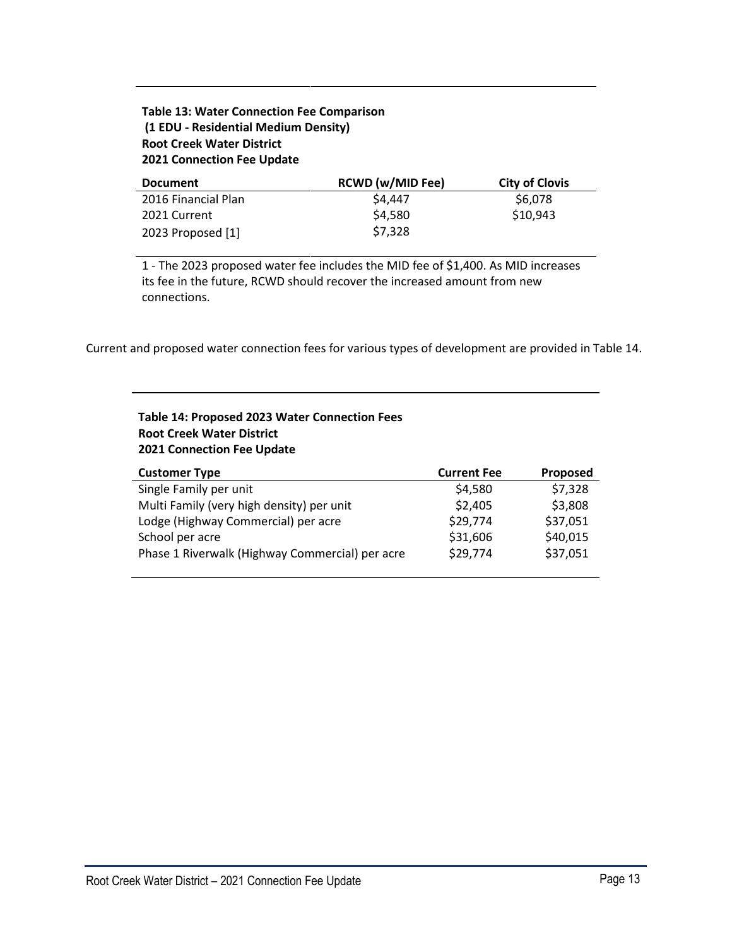# **Table 13: Water Connection Fee Comparison (1 EDU - Residential Medium Density) Root Creek Water District 2021 Connection Fee Update**

| <b>Document</b>     | <b>RCWD (w/MID Fee)</b> | <b>City of Clovis</b> |
|---------------------|-------------------------|-----------------------|
| 2016 Financial Plan | \$4,447                 | \$6,078               |
| 2021 Current        | \$4,580                 | \$10,943              |
| 2023 Proposed [1]   | \$7,328                 |                       |

1 - The 2023 proposed water fee includes the MID fee of \$1,400. As MID increases its fee in the future, RCWD should recover the increased amount from new connections.

Current and proposed water connection fees for various types of development are provided in Table 14.

# **Table 14: Proposed 2023 Water Connection Fees Root Creek Water District 2021 Connection Fee Update**

| <b>Customer Type</b>                            | <b>Current Fee</b> | <b>Proposed</b> |
|-------------------------------------------------|--------------------|-----------------|
| Single Family per unit                          | \$4,580            | \$7,328         |
| Multi Family (very high density) per unit       | \$2,405            | \$3,808         |
| Lodge (Highway Commercial) per acre             | \$29,774           | \$37,051        |
| School per acre                                 | \$31,606           | \$40,015        |
| Phase 1 Riverwalk (Highway Commercial) per acre | \$29,774           | \$37,051        |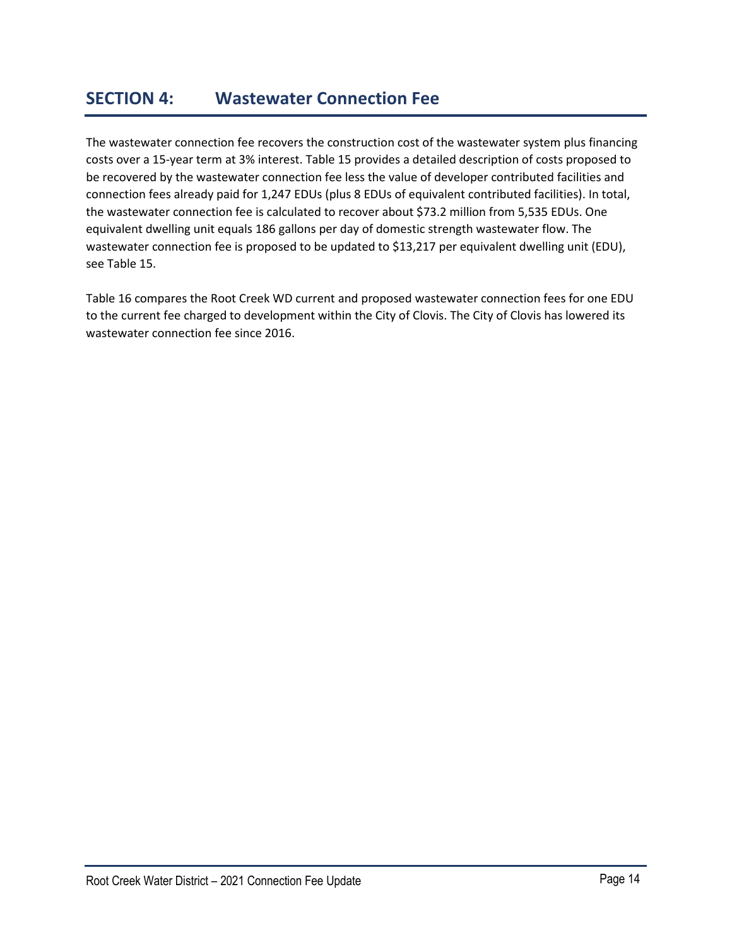# **SECTION 4: Wastewater Connection Fee**

The wastewater connection fee recovers the construction cost of the wastewater system plus financing costs over a 15-year term at 3% interest. Table 15 provides a detailed description of costs proposed to be recovered by the wastewater connection fee less the value of developer contributed facilities and connection fees already paid for 1,247 EDUs (plus 8 EDUs of equivalent contributed facilities). In total, the wastewater connection fee is calculated to recover about \$73.2 million from 5,535 EDUs. One equivalent dwelling unit equals 186 gallons per day of domestic strength wastewater flow. The wastewater connection fee is proposed to be updated to \$13,217 per equivalent dwelling unit (EDU), see Table 15.

Table 16 compares the Root Creek WD current and proposed wastewater connection fees for one EDU to the current fee charged to development within the City of Clovis. The City of Clovis has lowered its wastewater connection fee since 2016.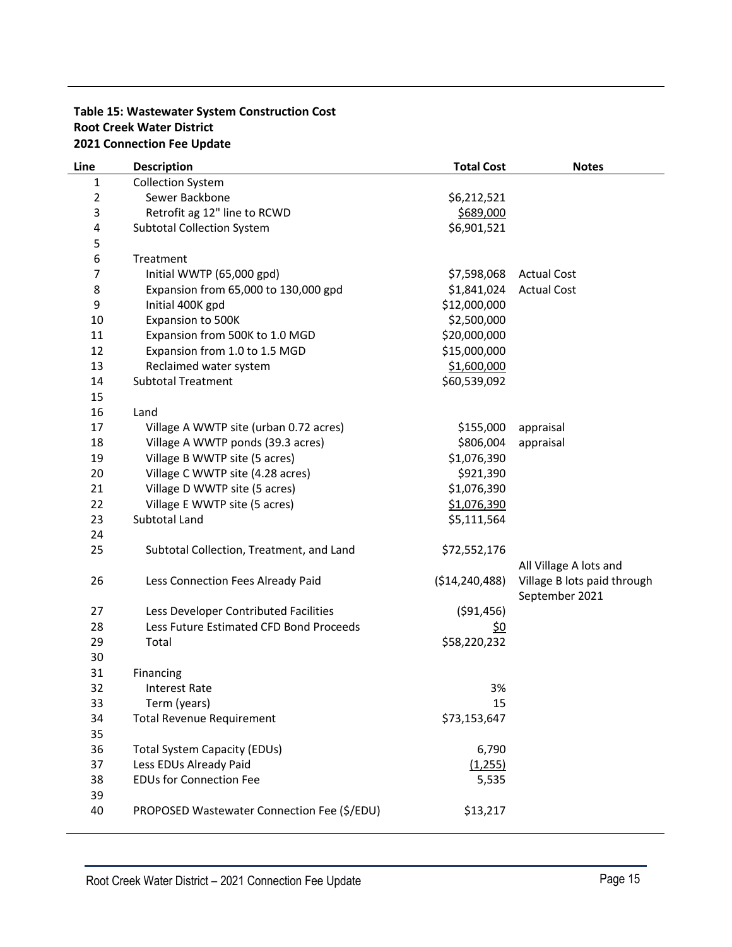# **Table 15: Wastewater System Construction Cost Root Creek Water District 2021 Connection Fee Update**

| Line           | <b>Description</b>                          | <b>Total Cost</b> | <b>Notes</b>                |
|----------------|---------------------------------------------|-------------------|-----------------------------|
| 1              | <b>Collection System</b>                    |                   |                             |
| $\overline{2}$ | Sewer Backbone                              | \$6,212,521       |                             |
| 3              | Retrofit ag 12" line to RCWD                | \$689,000         |                             |
| 4              | <b>Subtotal Collection System</b>           | \$6,901,521       |                             |
| 5              |                                             |                   |                             |
| 6              | Treatment                                   |                   |                             |
| 7              | Initial WWTP (65,000 gpd)                   | \$7,598,068       | <b>Actual Cost</b>          |
| 8              | Expansion from 65,000 to 130,000 gpd        | \$1,841,024       | <b>Actual Cost</b>          |
| 9              | Initial 400K gpd                            | \$12,000,000      |                             |
| 10             | Expansion to 500K                           | \$2,500,000       |                             |
| 11             | Expansion from 500K to 1.0 MGD              | \$20,000,000      |                             |
| 12             | Expansion from 1.0 to 1.5 MGD               | \$15,000,000      |                             |
| 13             | Reclaimed water system                      | \$1,600,000       |                             |
| 14             | <b>Subtotal Treatment</b>                   | \$60,539,092      |                             |
| 15             |                                             |                   |                             |
| 16             | Land                                        |                   |                             |
| 17             | Village A WWTP site (urban 0.72 acres)      | \$155,000         | appraisal                   |
| 18             | Village A WWTP ponds (39.3 acres)           | \$806,004         | appraisal                   |
| 19             | Village B WWTP site (5 acres)               | \$1,076,390       |                             |
| 20             | Village C WWTP site (4.28 acres)            | \$921,390         |                             |
| 21             | Village D WWTP site (5 acres)               | \$1,076,390       |                             |
| 22             | Village E WWTP site (5 acres)               | \$1,076,390       |                             |
| 23             | Subtotal Land                               | \$5,111,564       |                             |
| 24             |                                             |                   |                             |
| 25             | Subtotal Collection, Treatment, and Land    | \$72,552,176      |                             |
|                |                                             |                   | All Village A lots and      |
| 26             | Less Connection Fees Already Paid           | ( \$14, 240, 488) | Village B lots paid through |
|                |                                             |                   | September 2021              |
| 27             | Less Developer Contributed Facilities       | ( \$91,456)       |                             |
| 28             | Less Future Estimated CFD Bond Proceeds     | <u>\$0</u>        |                             |
| 29             | Total                                       | \$58,220,232      |                             |
| 30<br>31       |                                             |                   |                             |
| 32             | Financing<br><b>Interest Rate</b>           | 3%                |                             |
| 33             | Term (years)                                | 15                |                             |
| 34             | <b>Total Revenue Requirement</b>            | \$73,153,647      |                             |
| 35             |                                             |                   |                             |
| 36             | <b>Total System Capacity (EDUs)</b>         | 6,790             |                             |
| 37             | Less EDUs Already Paid                      | (1,255)           |                             |
| 38             | <b>EDUs for Connection Fee</b>              | 5,535             |                             |
| 39             |                                             |                   |                             |
| 40             | PROPOSED Wastewater Connection Fee (\$/EDU) | \$13,217          |                             |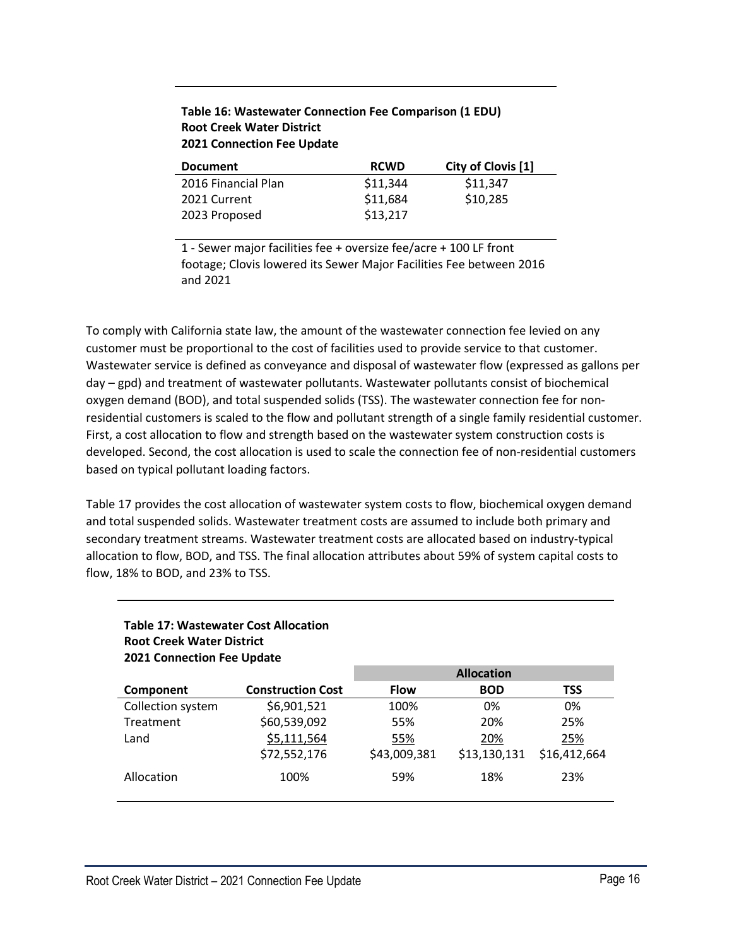# **Table 16: Wastewater Connection Fee Comparison (1 EDU) Root Creek Water District 2021 Connection Fee Update**

| <b>Document</b>     | <b>RCWD</b> | City of Clovis [1] |
|---------------------|-------------|--------------------|
| 2016 Financial Plan | \$11,344    | \$11,347           |
| 2021 Current        | \$11,684    | \$10,285           |
| 2023 Proposed       | \$13,217    |                    |

1 - Sewer major facilities fee + oversize fee/acre + 100 LF front footage; Clovis lowered its Sewer Major Facilities Fee between 2016 and 2021

To comply with California state law, the amount of the wastewater connection fee levied on any customer must be proportional to the cost of facilities used to provide service to that customer. Wastewater service is defined as conveyance and disposal of wastewater flow (expressed as gallons per day – gpd) and treatment of wastewater pollutants. Wastewater pollutants consist of biochemical oxygen demand (BOD), and total suspended solids (TSS). The wastewater connection fee for nonresidential customers is scaled to the flow and pollutant strength of a single family residential customer. First, a cost allocation to flow and strength based on the wastewater system construction costs is developed. Second, the cost allocation is used to scale the connection fee of non-residential customers based on typical pollutant loading factors.

Table 17 provides the cost allocation of wastewater system costs to flow, biochemical oxygen demand and total suspended solids. Wastewater treatment costs are assumed to include both primary and secondary treatment streams. Wastewater treatment costs are allocated based on industry-typical allocation to flow, BOD, and TSS. The final allocation attributes about 59% of system capital costs to flow, 18% to BOD, and 23% to TSS.

### **Table 17: Wastewater Cost Allocation Root Creek Water District 2021 Connection Fee Update**

|                   |                          |              | <b>Allocation</b> |              |
|-------------------|--------------------------|--------------|-------------------|--------------|
| Component         | <b>Construction Cost</b> | <b>Flow</b>  | <b>BOD</b>        | <b>TSS</b>   |
| Collection system | \$6,901,521              | 100%         | 0%                | 0%           |
| Treatment         | \$60,539,092             | 55%          | 20%               | 25%          |
| Land              | \$5,111,564              | 55%          | 20%               | 25%          |
|                   | \$72,552,176             | \$43,009,381 | \$13,130,131      | \$16,412,664 |
| Allocation        | 100%                     | 59%          | 18%               | 23%          |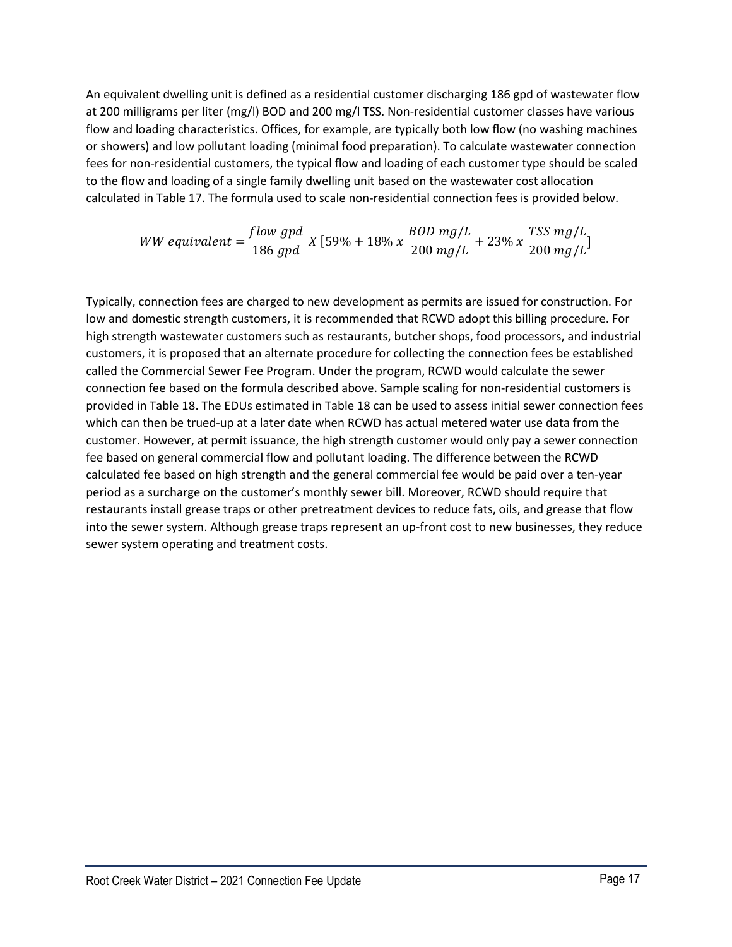An equivalent dwelling unit is defined as a residential customer discharging 186 gpd of wastewater flow at 200 milligrams per liter (mg/l) BOD and 200 mg/l TSS. Non-residential customer classes have various flow and loading characteristics. Offices, for example, are typically both low flow (no washing machines or showers) and low pollutant loading (minimal food preparation). To calculate wastewater connection fees for non-residential customers, the typical flow and loading of each customer type should be scaled to the flow and loading of a single family dwelling unit based on the wastewater cost allocation calculated in Table 17. The formula used to scale non-residential connection fees is provided below.

$$
WW\;equivalent = \frac{flow\;gpd}{186\;gpd}\;X\left[59\% + 18\% \; x\; \frac{BOD\;mg/L}{200\;mg/L} + 23\% \; x\; \frac{TSS\;mg/L}{200\;mg/L}\right]
$$

Typically, connection fees are charged to new development as permits are issued for construction. For low and domestic strength customers, it is recommended that RCWD adopt this billing procedure. For high strength wastewater customers such as restaurants, butcher shops, food processors, and industrial customers, it is proposed that an alternate procedure for collecting the connection fees be established called the Commercial Sewer Fee Program. Under the program, RCWD would calculate the sewer connection fee based on the formula described above. Sample scaling for non-residential customers is provided in Table 18. The EDUs estimated in Table 18 can be used to assess initial sewer connection fees which can then be trued-up at a later date when RCWD has actual metered water use data from the customer. However, at permit issuance, the high strength customer would only pay a sewer connection fee based on general commercial flow and pollutant loading. The difference between the RCWD calculated fee based on high strength and the general commercial fee would be paid over a ten-year period as a surcharge on the customer's monthly sewer bill. Moreover, RCWD should require that restaurants install grease traps or other pretreatment devices to reduce fats, oils, and grease that flow into the sewer system. Although grease traps represent an up-front cost to new businesses, they reduce sewer system operating and treatment costs.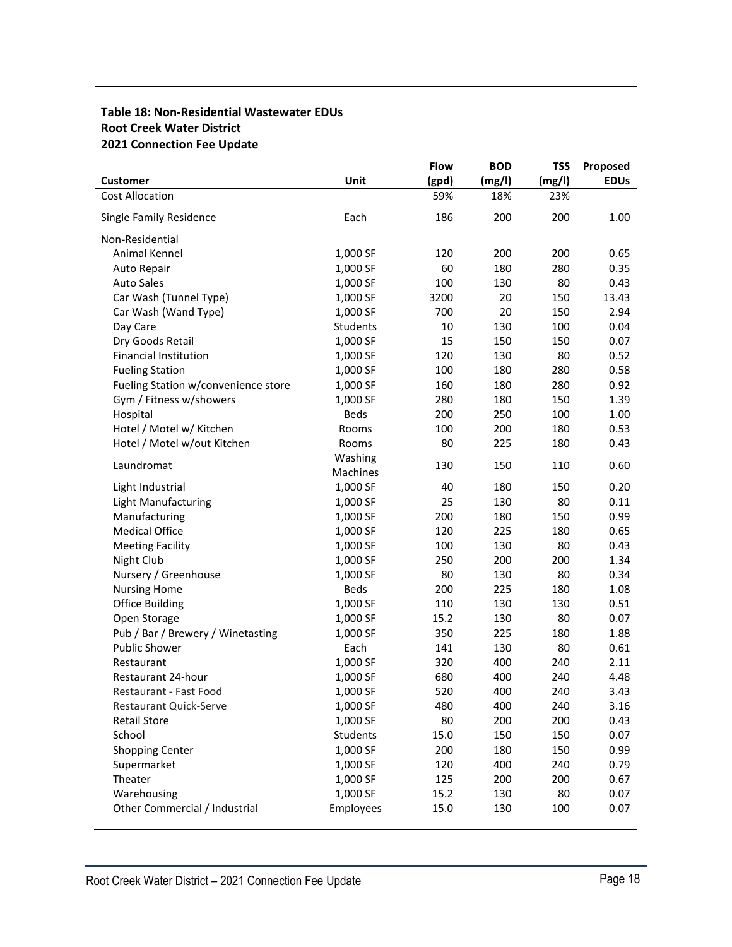# **Table 18: Non-Residential Wastewater EDUs Root Creek Water District 2021 Connection Fee Update**

|                                     |             | <b>Flow</b> | <b>BOD</b> | <b>TSS</b> | Proposed    |
|-------------------------------------|-------------|-------------|------------|------------|-------------|
| <b>Customer</b>                     | Unit        | (gpd)       | (mg/l)     | (mg/l)     | <b>EDUS</b> |
| <b>Cost Allocation</b>              |             | 59%         | 18%        | 23%        |             |
| Single Family Residence             | Each        | 186         | 200        | 200        | 1.00        |
| Non-Residential                     |             |             |            |            |             |
| Animal Kennel                       | 1,000 SF    | 120         | 200        | 200        | 0.65        |
| Auto Repair                         | 1,000 SF    | 60          | 180        | 280        | 0.35        |
| <b>Auto Sales</b>                   | 1,000 SF    | 100         | 130        | 80         | 0.43        |
| Car Wash (Tunnel Type)              | 1,000 SF    | 3200        | 20         | 150        | 13.43       |
| Car Wash (Wand Type)                | 1,000 SF    | 700         | 20         | 150        | 2.94        |
| Day Care                            | Students    | 10          | 130        | 100        | 0.04        |
| Dry Goods Retail                    | 1,000 SF    | 15          | 150        | 150        | 0.07        |
| <b>Financial Institution</b>        | 1,000 SF    | 120         | 130        | 80         | 0.52        |
| <b>Fueling Station</b>              | 1,000 SF    | 100         | 180        | 280        | 0.58        |
| Fueling Station w/convenience store | 1,000 SF    | 160         | 180        | 280        | 0.92        |
| Gym / Fitness w/showers             | 1,000 SF    | 280         | 180        | 150        | 1.39        |
| Hospital                            | <b>Beds</b> | 200         | 250        | 100        | 1.00        |
| Hotel / Motel w/ Kitchen            | Rooms       | 100         | 200        | 180        | 0.53        |
| Hotel / Motel w/out Kitchen         | Rooms       | 80          | 225        | 180        | 0.43        |
| Laundromat                          | Washing     | 130         | 150        | 110        | 0.60        |
|                                     | Machines    |             |            |            |             |
| Light Industrial                    | 1,000 SF    | 40          | 180        | 150        | 0.20        |
| <b>Light Manufacturing</b>          | 1,000 SF    | 25          | 130        | 80         | 0.11        |
| Manufacturing                       | 1,000 SF    | 200         | 180        | 150        | 0.99        |
| <b>Medical Office</b>               | 1,000 SF    | 120         | 225        | 180        | 0.65        |
| <b>Meeting Facility</b>             | 1,000 SF    | 100         | 130        | 80         | 0.43        |
| Night Club                          | 1,000 SF    | 250         | 200        | 200        | 1.34        |
| Nursery / Greenhouse                | 1,000 SF    | 80          | 130        | 80         | 0.34        |
| <b>Nursing Home</b>                 | Beds        | 200         | 225        | 180        | 1.08        |
| <b>Office Building</b>              | 1,000 SF    | 110         | 130        | 130        | 0.51        |
| Open Storage                        | 1,000 SF    | 15.2        | 130        | 80         | 0.07        |
| Pub / Bar / Brewery / Winetasting   | 1,000 SF    | 350         | 225        | 180        | 1.88        |
| <b>Public Shower</b>                | Each        | 141         | 130        | 80         | 0.61        |
| Restaurant                          | 1,000 SF    | 320         | 400        | 240        | 2.11        |
| Restaurant 24-hour                  | 1,000 SF    | 680         | 400        | 240        | 4.48        |
| Restaurant - Fast Food              | 1,000 SF    | 520         | 400        | 240        | 3.43        |
| Restaurant Quick-Serve              | 1,000 SF    | 480         | 400        | 240        | 3.16        |
| <b>Retail Store</b>                 | 1,000 SF    | 80          | 200        | 200        | 0.43        |
| School                              | Students    | 15.0        | 150        | 150        | 0.07        |
| <b>Shopping Center</b>              | 1,000 SF    | 200         | 180        | 150        | 0.99        |
| Supermarket                         | 1,000 SF    | 120         | 400        | 240        | 0.79        |
| Theater                             | 1,000 SF    | 125         | 200        | 200        | 0.67        |
| Warehousing                         | 1,000 SF    | 15.2        | 130        | 80         | 0.07        |
| Other Commercial / Industrial       | Employees   | 15.0        | 130        | 100        | 0.07        |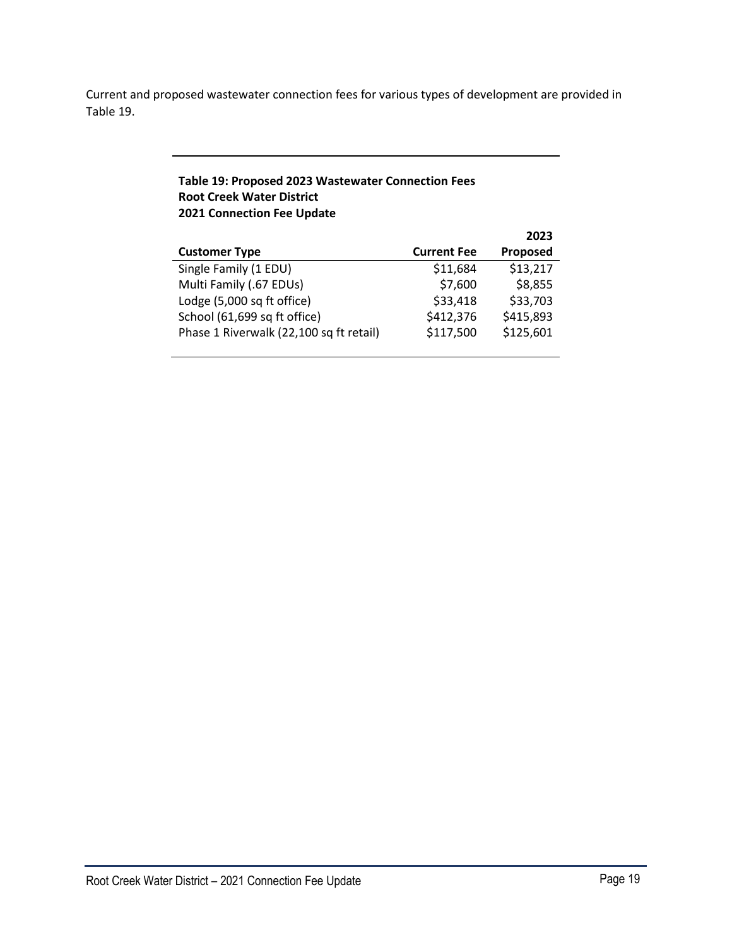Current and proposed wastewater connection fees for various types of development are provided in Table 19.

# **Table 19: Proposed 2023 Wastewater Connection Fees Root Creek Water District 2021 Connection Fee Update**

|                                         |                    | 2023      |
|-----------------------------------------|--------------------|-----------|
| <b>Customer Type</b>                    | <b>Current Fee</b> | Proposed  |
| Single Family (1 EDU)                   | \$11,684           | \$13,217  |
| Multi Family (.67 EDUs)                 | \$7,600            | \$8,855   |
| Lodge (5,000 sq ft office)              | \$33,418           | \$33,703  |
| School (61,699 sq ft office)            | \$412,376          | \$415,893 |
| Phase 1 Riverwalk (22,100 sq ft retail) | \$117,500          | \$125,601 |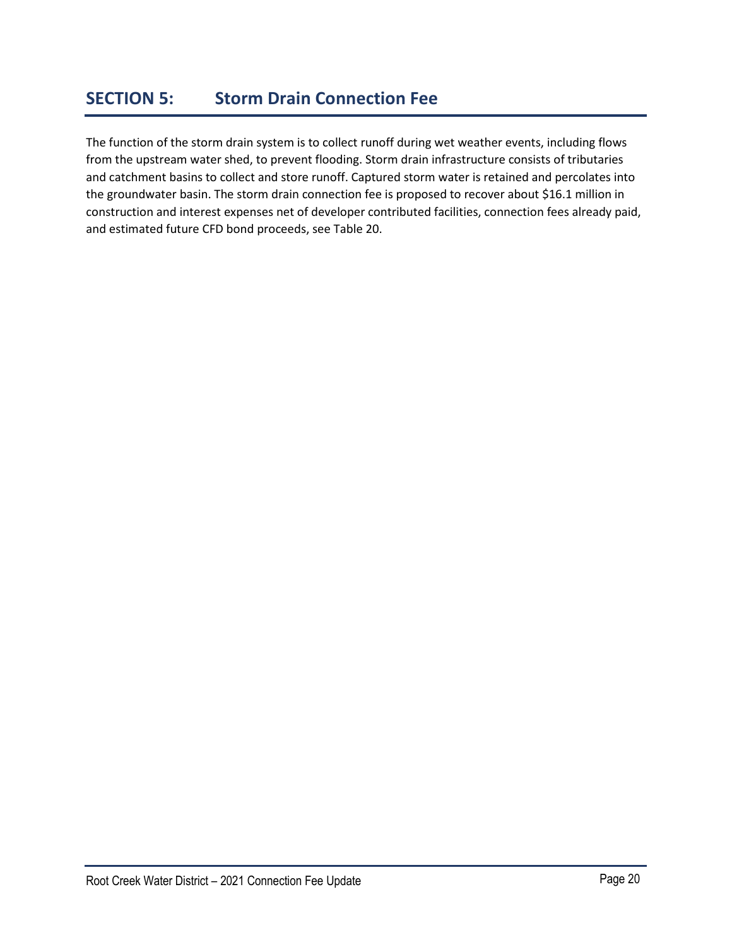The function of the storm drain system is to collect runoff during wet weather events, including flows from the upstream water shed, to prevent flooding. Storm drain infrastructure consists of tributaries and catchment basins to collect and store runoff. Captured storm water is retained and percolates into the groundwater basin. The storm drain connection fee is proposed to recover about \$16.1 million in construction and interest expenses net of developer contributed facilities, connection fees already paid, and estimated future CFD bond proceeds, see Table 20.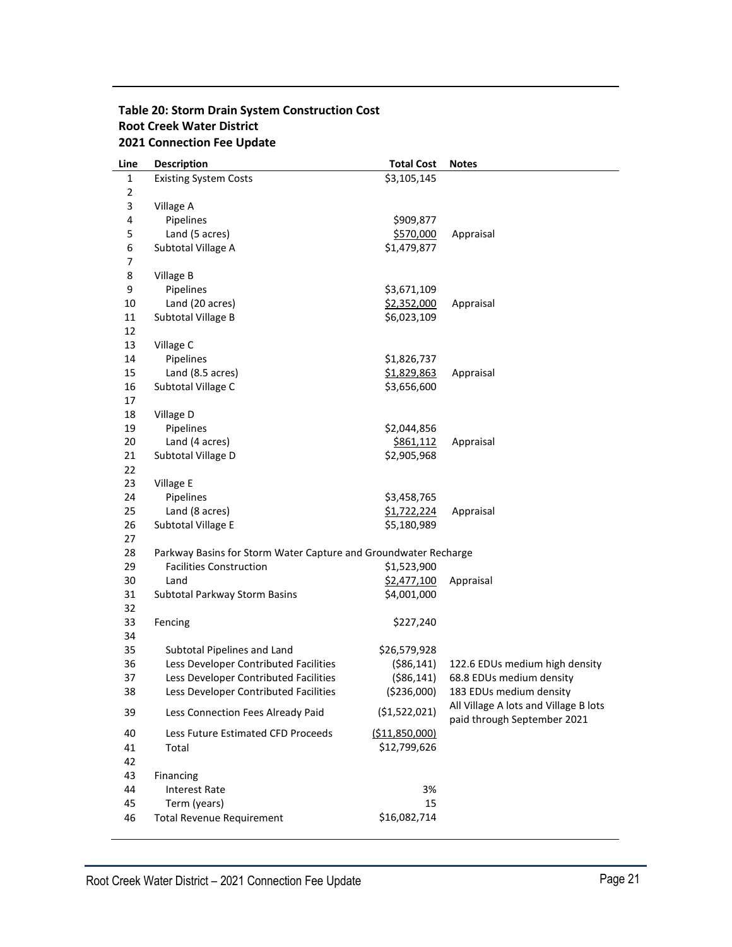# **Table 20: Storm Drain System Construction Cost Root Creek Water District 2021 Connection Fee Update**

| Line | <b>Description</b>                                              | <b>Total Cost</b> | <b>Notes</b>                                                         |
|------|-----------------------------------------------------------------|-------------------|----------------------------------------------------------------------|
| 1    | <b>Existing System Costs</b>                                    | \$3,105,145       |                                                                      |
| 2    |                                                                 |                   |                                                                      |
| 3    | Village A                                                       |                   |                                                                      |
| 4    | Pipelines                                                       | \$909,877         |                                                                      |
| 5    | Land (5 acres)                                                  | \$570,000         | Appraisal                                                            |
| 6    | Subtotal Village A                                              | \$1,479,877       |                                                                      |
| 7    |                                                                 |                   |                                                                      |
| 8    | Village B                                                       |                   |                                                                      |
| 9    | Pipelines                                                       | \$3,671,109       |                                                                      |
| 10   | Land (20 acres)                                                 | \$2,352,000       | Appraisal                                                            |
| 11   | Subtotal Village B                                              | \$6,023,109       |                                                                      |
| 12   |                                                                 |                   |                                                                      |
| 13   | Village C                                                       |                   |                                                                      |
| 14   | Pipelines                                                       | \$1,826,737       |                                                                      |
| 15   | Land (8.5 acres)                                                | \$1,829,863       | Appraisal                                                            |
| 16   | Subtotal Village C                                              | \$3,656,600       |                                                                      |
| 17   |                                                                 |                   |                                                                      |
| 18   | Village D                                                       |                   |                                                                      |
| 19   | Pipelines                                                       | \$2,044,856       |                                                                      |
| 20   | Land (4 acres)                                                  | \$861,112         | Appraisal                                                            |
| 21   | Subtotal Village D                                              | \$2,905,968       |                                                                      |
| 22   |                                                                 |                   |                                                                      |
| 23   | Village E                                                       |                   |                                                                      |
| 24   | Pipelines                                                       | \$3,458,765       |                                                                      |
| 25   | Land (8 acres)                                                  | \$1,722,224       | Appraisal                                                            |
| 26   | Subtotal Village E                                              | \$5,180,989       |                                                                      |
| 27   |                                                                 |                   |                                                                      |
| 28   | Parkway Basins for Storm Water Capture and Groundwater Recharge |                   |                                                                      |
| 29   | <b>Facilities Construction</b>                                  | \$1,523,900       |                                                                      |
| 30   | Land                                                            | \$2,477,100       | Appraisal                                                            |
| 31   | Subtotal Parkway Storm Basins                                   | \$4,001,000       |                                                                      |
| 32   |                                                                 |                   |                                                                      |
| 33   | Fencing                                                         | \$227,240         |                                                                      |
| 34   |                                                                 |                   |                                                                      |
| 35   | Subtotal Pipelines and Land                                     | \$26,579,928      |                                                                      |
| 36   | Less Developer Contributed Facilities                           | ( \$86, 141)      | 122.6 EDUs medium high density                                       |
| 37   | Less Developer Contributed Facilities                           | ( \$86, 141)      | 68.8 EDUs medium density                                             |
| 38   | Less Developer Contributed Facilities                           | (\$236,000)       | 183 EDUs medium density                                              |
| 39   | Less Connection Fees Already Paid                               | ( \$1,522,021)    | All Village A lots and Village B lots<br>paid through September 2021 |
| 40   | Less Future Estimated CFD Proceeds                              | ( \$11,850,000]   |                                                                      |
| 41   | Total                                                           | \$12,799,626      |                                                                      |
| 42   |                                                                 |                   |                                                                      |
| 43   | Financing                                                       |                   |                                                                      |
| 44   | <b>Interest Rate</b>                                            | 3%                |                                                                      |
| 45   | Term (years)                                                    | 15                |                                                                      |
| 46   | <b>Total Revenue Requirement</b>                                | \$16,082,714      |                                                                      |
|      |                                                                 |                   |                                                                      |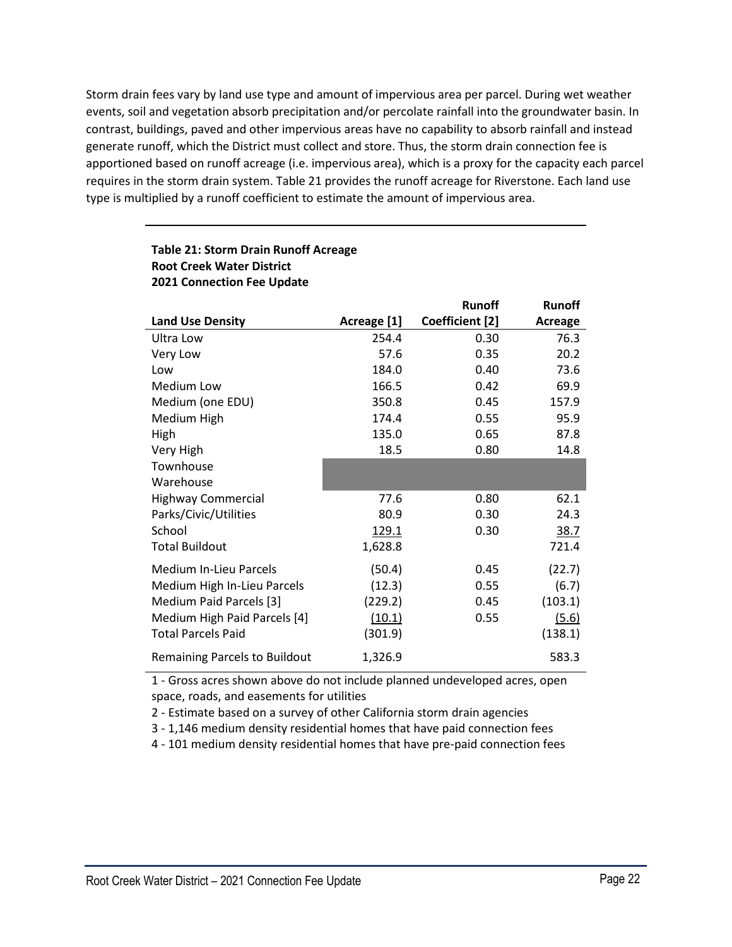Storm drain fees vary by land use type and amount of impervious area per parcel. During wet weather events, soil and vegetation absorb precipitation and/or percolate rainfall into the groundwater basin. In contrast, buildings, paved and other impervious areas have no capability to absorb rainfall and instead generate runoff, which the District must collect and store. Thus, the storm drain connection fee is apportioned based on runoff acreage (i.e. impervious area), which is a proxy for the capacity each parcel requires in the storm drain system. Table 21 provides the runoff acreage for Riverstone. Each land use type is multiplied by a runoff coefficient to estimate the amount of impervious area.

|                                      |              | <b>Runoff</b>   | <b>Runoff</b> |
|--------------------------------------|--------------|-----------------|---------------|
| <b>Land Use Density</b>              | Acreage [1]  | Coefficient [2] | Acreage       |
| Ultra Low                            | 254.4        | 0.30            | 76.3          |
| Very Low                             | 57.6         | 0.35            | 20.2          |
| Low                                  | 184.0        | 0.40            | 73.6          |
| Medium Low                           | 166.5        | 0.42            | 69.9          |
| Medium (one EDU)                     | 350.8        | 0.45            | 157.9         |
| Medium High                          | 174.4        | 0.55            | 95.9          |
| High                                 | 135.0        | 0.65            | 87.8          |
| Very High                            | 18.5         | 0.80            | 14.8          |
| Townhouse                            |              |                 |               |
| Warehouse                            |              |                 |               |
| <b>Highway Commercial</b>            | 77.6         | 0.80            | 62.1          |
| Parks/Civic/Utilities                | 80.9         | 0.30            | 24.3          |
| School                               | <u>129.1</u> | 0.30            | 38.7          |
| <b>Total Buildout</b>                | 1,628.8      |                 | 721.4         |
| <b>Medium In-Lieu Parcels</b>        | (50.4)       | 0.45            | (22.7)        |
| Medium High In-Lieu Parcels          | (12.3)       | 0.55            | (6.7)         |
| Medium Paid Parcels [3]              | (229.2)      | 0.45            | (103.1)       |
| Medium High Paid Parcels [4]         | (10.1)       | 0.55            | (5.6)         |
| <b>Total Parcels Paid</b>            | (301.9)      |                 | (138.1)       |
| <b>Remaining Parcels to Buildout</b> | 1,326.9      |                 | 583.3         |

# **Table 21: Storm Drain Runoff Acreage Root Creek Water District 2021 Connection Fee Update**

1 - Gross acres shown above do not include planned undeveloped acres, open space, roads, and easements for utilities

2 - Estimate based on a survey of other California storm drain agencies

3 - 1,146 medium density residential homes that have paid connection fees

4 - 101 medium density residential homes that have pre-paid connection fees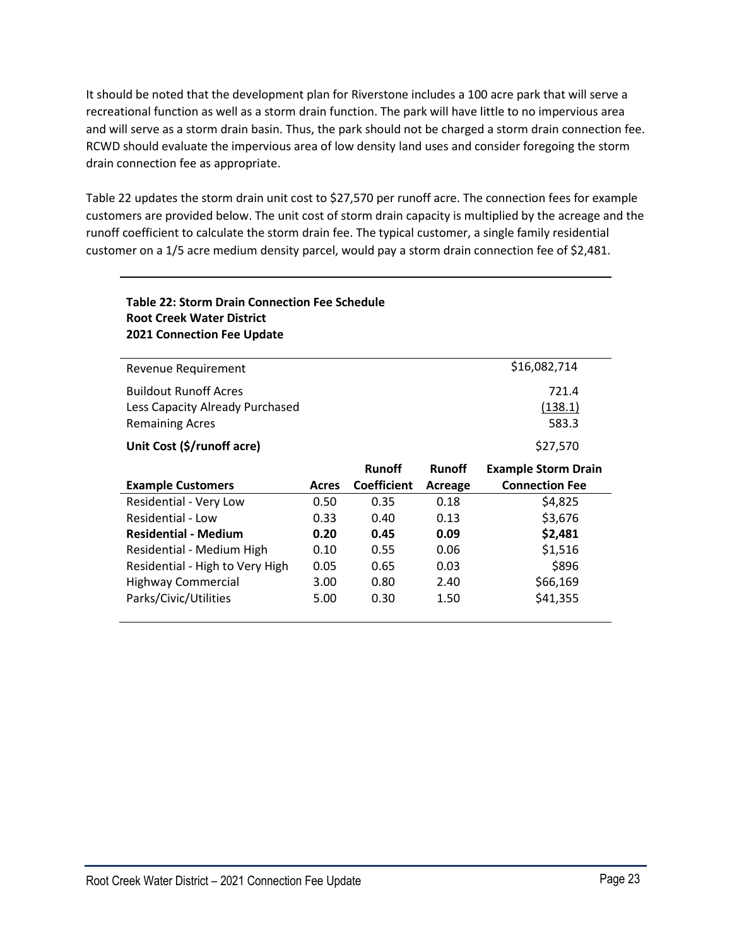It should be noted that the development plan for Riverstone includes a 100 acre park that will serve a recreational function as well as a storm drain function. The park will have little to no impervious area and will serve as a storm drain basin. Thus, the park should not be charged a storm drain connection fee. RCWD should evaluate the impervious area of low density land uses and consider foregoing the storm drain connection fee as appropriate.

Table 22 updates the storm drain unit cost to \$27,570 per runoff acre. The connection fees for example customers are provided below. The unit cost of storm drain capacity is multiplied by the acreage and the runoff coefficient to calculate the storm drain fee. The typical customer, a single family residential customer on a 1/5 acre medium density parcel, would pay a storm drain connection fee of \$2,481.

| Table 22: Storm Drain Connection Fee Schedule<br><b>Root Creek Water District</b><br><b>2021 Connection Fee Update</b> |              |                                     |                          |                                                     |
|------------------------------------------------------------------------------------------------------------------------|--------------|-------------------------------------|--------------------------|-----------------------------------------------------|
| Revenue Requirement                                                                                                    |              |                                     |                          | \$16,082,714                                        |
| <b>Buildout Runoff Acres</b><br>Less Capacity Already Purchased<br><b>Remaining Acres</b>                              |              |                                     |                          | 721.4<br>(138.1)<br>583.3                           |
| Unit Cost (\$/runoff acre)                                                                                             |              |                                     |                          | \$27,570                                            |
|                                                                                                                        |              |                                     |                          |                                                     |
| <b>Example Customers</b>                                                                                               | <b>Acres</b> | <b>Runoff</b><br><b>Coefficient</b> | <b>Runoff</b><br>Acreage | <b>Example Storm Drain</b><br><b>Connection Fee</b> |
| Residential - Very Low                                                                                                 | 0.50         | 0.35                                | 0.18                     | \$4,825                                             |
| Residential - Low                                                                                                      | 0.33         | 0.40                                | 0.13                     | \$3,676                                             |
| <b>Residential - Medium</b>                                                                                            | 0.20         | 0.45                                | 0.09                     | \$2,481                                             |
| Residential - Medium High                                                                                              | 0.10         | 0.55                                | 0.06                     | \$1,516                                             |
| Residential - High to Very High                                                                                        | 0.05         | 0.65                                | 0.03                     | \$896                                               |
| <b>Highway Commercial</b>                                                                                              | 3.00         | 0.80                                | 2.40                     | \$66,169                                            |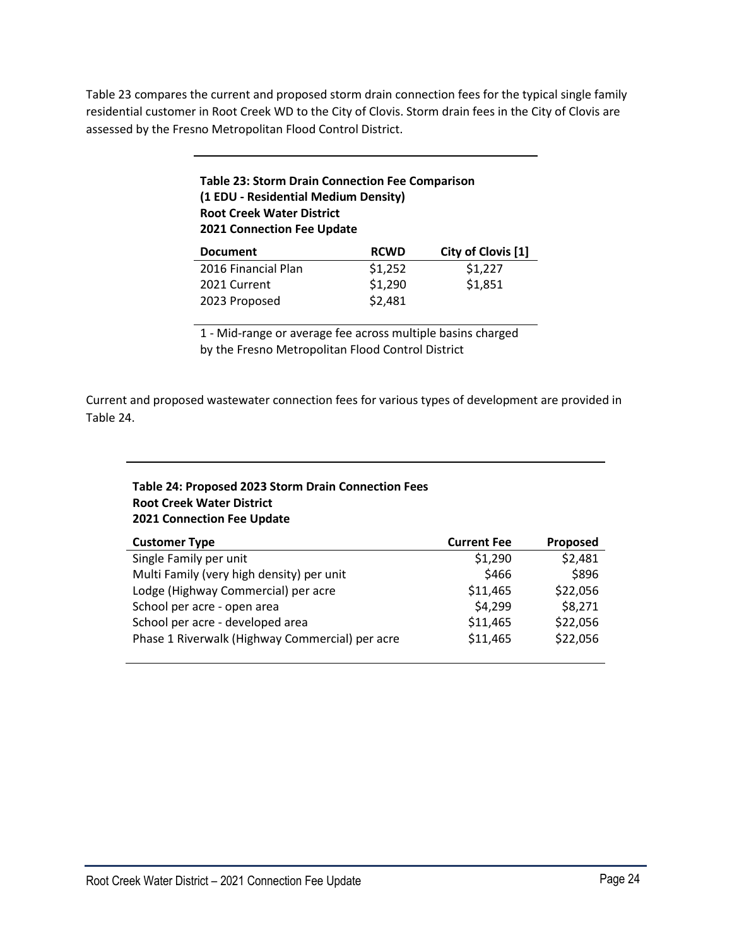Table 23 compares the current and proposed storm drain connection fees for the typical single family residential customer in Root Creek WD to the City of Clovis. Storm drain fees in the City of Clovis are assessed by the Fresno Metropolitan Flood Control District.

| <b>Table 23: Storm Drain Connection Fee Comparison</b> |
|--------------------------------------------------------|
| (1 EDU - Residential Medium Density)                   |
| <b>Root Creek Water District</b>                       |
| <b>2021 Connection Fee Update</b>                      |
|                                                        |

| <b>Document</b>     | <b>RCWD</b> | City of Clovis [1] |
|---------------------|-------------|--------------------|
| 2016 Financial Plan | \$1,252     | \$1,227            |
| 2021 Current        | \$1,290     | \$1,851            |
| 2023 Proposed       | \$2,481     |                    |

1 - Mid-range or average fee across multiple basins charged by the Fresno Metropolitan Flood Control District

Current and proposed wastewater connection fees for various types of development are provided in Table 24.

# **Table 24: Proposed 2023 Storm Drain Connection Fees Root Creek Water District 2021 Connection Fee Update**

| <b>Customer Type</b>                            | <b>Current Fee</b> | Proposed |
|-------------------------------------------------|--------------------|----------|
| Single Family per unit                          | \$1,290            | \$2,481  |
| Multi Family (very high density) per unit       | \$466              | \$896    |
| Lodge (Highway Commercial) per acre             | \$11,465           | \$22,056 |
| School per acre - open area                     | \$4,299            | \$8,271  |
| School per acre - developed area                | \$11,465           | \$22,056 |
| Phase 1 Riverwalk (Highway Commercial) per acre | \$11,465           | \$22,056 |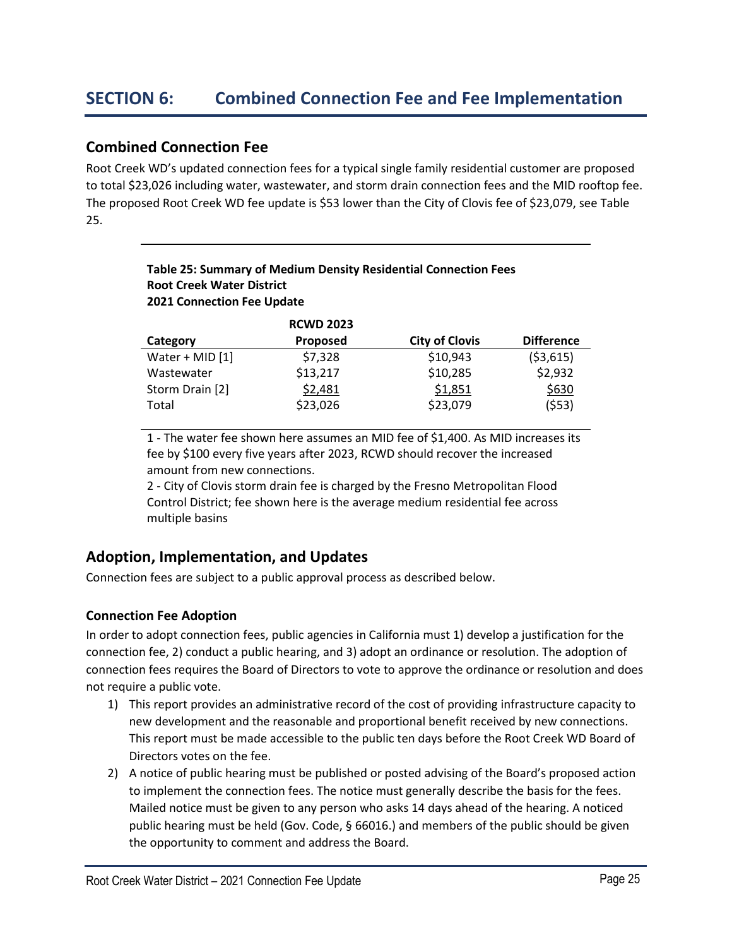# **Combined Connection Fee**

Root Creek WD's updated connection fees for a typical single family residential customer are proposed to total \$23,026 including water, wastewater, and storm drain connection fees and the MID rooftop fee. The proposed Root Creek WD fee update is \$53 lower than the City of Clovis fee of \$23,079, see Table 25.

# **Table 25: Summary of Medium Density Residential Connection Fees Root Creek Water District 2021 Connection Fee Update**

|                   | <b>RCWD 2023</b> |                       |                   |
|-------------------|------------------|-----------------------|-------------------|
| Category          | Proposed         | <b>City of Clovis</b> | <b>Difference</b> |
| Water + MID $[1]$ | \$7,328          | \$10,943              | (53,615)          |
| Wastewater        | \$13,217         | \$10,285              | \$2,932           |
| Storm Drain [2]   | \$2,481          | \$1,851               | \$630             |
| Total             | \$23,026         | \$23,079              | (553)             |

1 - The water fee shown here assumes an MID fee of \$1,400. As MID increases its fee by \$100 every five years after 2023, RCWD should recover the increased amount from new connections.

2 - City of Clovis storm drain fee is charged by the Fresno Metropolitan Flood Control District; fee shown here is the average medium residential fee across multiple basins

# **Adoption, Implementation, and Updates**

Connection fees are subject to a public approval process as described below.

# **Connection Fee Adoption**

In order to adopt connection fees, public agencies in California must 1) develop a justification for the connection fee, 2) conduct a public hearing, and 3) adopt an ordinance or resolution. The adoption of connection fees requires the Board of Directors to vote to approve the ordinance or resolution and does not require a public vote.

- 1) This report provides an administrative record of the cost of providing infrastructure capacity to new development and the reasonable and proportional benefit received by new connections. This report must be made accessible to the public ten days before the Root Creek WD Board of Directors votes on the fee.
- 2) A notice of public hearing must be published or posted advising of the Board's proposed action to implement the connection fees. The notice must generally describe the basis for the fees. Mailed notice must be given to any person who asks 14 days ahead of the hearing. A noticed public hearing must be held (Gov. Code, § 66016.) and members of the public should be given the opportunity to comment and address the Board.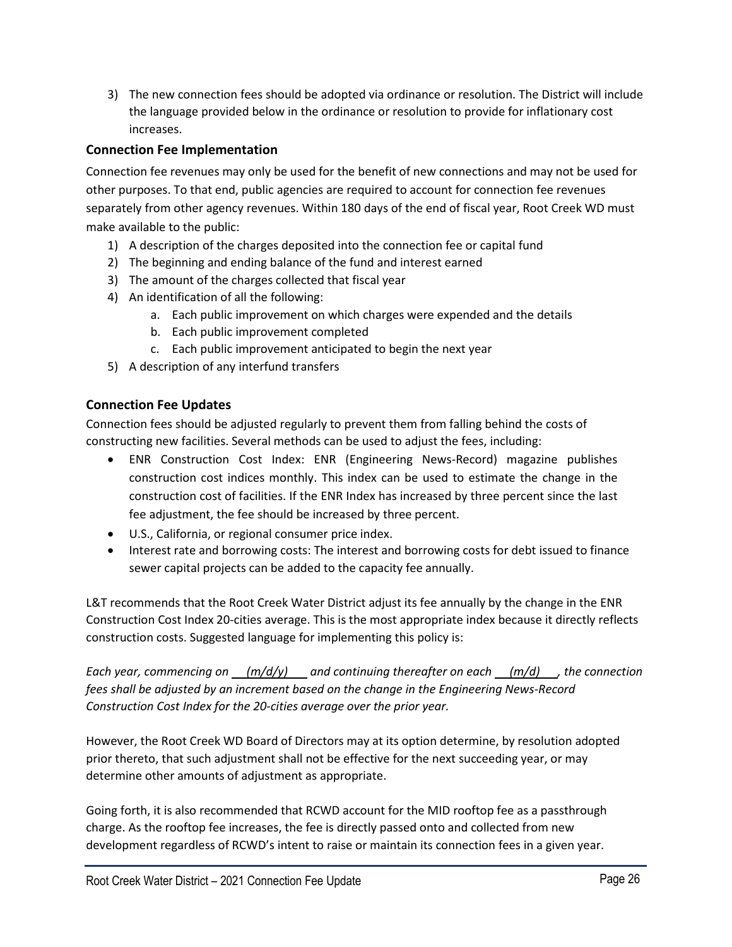3) The new connection fees should be adopted via ordinance or resolution. The District will include the language provided below in the ordinance or resolution to provide for inflationary cost increases.

# **Connection Fee Implementation**

Connection fee revenues may only be used for the benefit of new connections and may not be used for other purposes. To that end, public agencies are required to account for connection fee revenues separately from other agency revenues. Within 180 days of the end of fiscal year, Root Creek WD must make available to the public:

- 1) A description of the charges deposited into the connection fee or capital fund
- 2) The beginning and ending balance of the fund and interest earned
- 3) The amount of the charges collected that fiscal year
- 4) An identification of all the following:
	- a. Each public improvement on which charges were expended and the details
	- b. Each public improvement completed
	- c. Each public improvement anticipated to begin the next year
- 5) A description of any interfund transfers

# **Connection Fee Updates**

Connection fees should be adjusted regularly to prevent them from falling behind the costs of constructing new facilities. Several methods can be used to adjust the fees, including:

- ENR Construction Cost Index: ENR (Engineering News-Record) magazine publishes construction cost indices monthly. This index can be used to estimate the change in the construction cost of facilities. If the ENR Index has increased by three percent since the last fee adjustment, the fee should be increased by three percent.
- U.S., California, or regional consumer price index.
- Interest rate and borrowing costs: The interest and borrowing costs for debt issued to finance sewer capital projects can be added to the capacity fee annually.

L&T recommends that the Root Creek Water District adjust its fee annually by the change in the ENR Construction Cost Index 20-cities average. This is the most appropriate index because it directly reflects construction costs. Suggested language for implementing this policy is:

*Each year, commencing on (m/d/y) and continuing thereafter on each (m/d) , the connection fees shall be adjusted by an increment based on the change in the Engineering News‐Record Construction Cost Index for the 20‐cities average over the prior year.*

However, the Root Creek WD Board of Directors may at its option determine, by resolution adopted prior thereto, that such adjustment shall not be effective for the next succeeding year, or may determine other amounts of adjustment as appropriate.

Going forth, it is also recommended that RCWD account for the MID rooftop fee as a passthrough charge. As the rooftop fee increases, the fee is directly passed onto and collected from new development regardless of RCWD's intent to raise or maintain its connection fees in a given year.